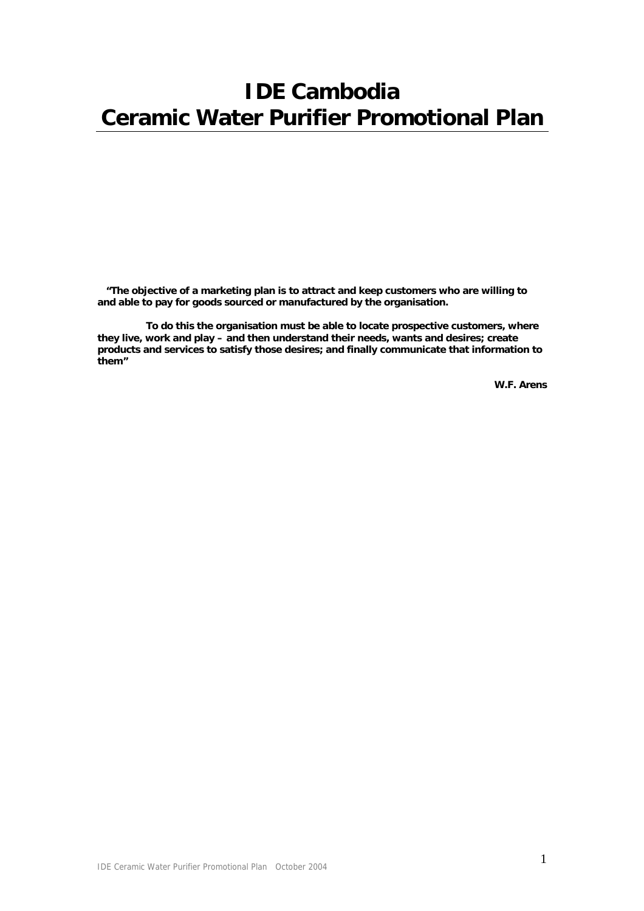# **IDE Cambodia Ceramic Water Purifier Promotional Plan**

 **"The objective of a marketing plan is to attract and keep customers who are willing to and able to pay for goods sourced or manufactured by the organisation.** 

 **To do this the organisation must be able to locate prospective customers, where they live, work and play – and then understand their needs, wants and desires; create products and services to satisfy those desires; and finally communicate that information to them"** 

 **W.F. Arens**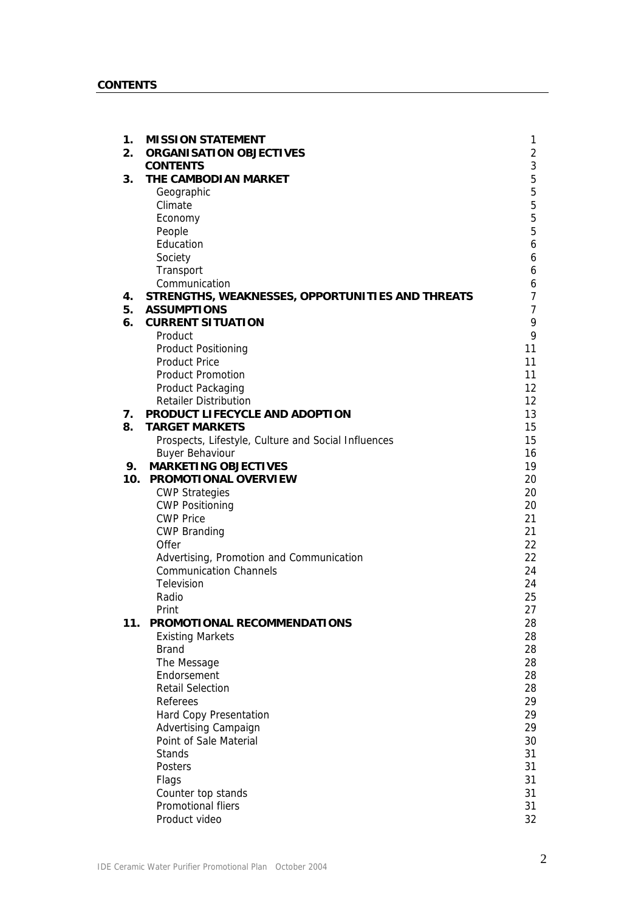| 1.<br>2. | <b>MISSION STATEMENT</b><br><b>ORGANISATION OBJECTIVES</b> | 1<br>2         |
|----------|------------------------------------------------------------|----------------|
|          | <b>CONTENTS</b>                                            | 3              |
| 3.       | THE CAMBODIAN MARKET                                       | $\overline{5}$ |
|          | Geographic                                                 | 5              |
|          | Climate                                                    | 5              |
|          | Economy                                                    | 5              |
|          | People                                                     | 5              |
|          | Education                                                  | 6              |
|          | Society                                                    | 6              |
|          | Transport                                                  | 6              |
|          | Communication                                              | 6              |
| 4.       | STRENGTHS, WEAKNESSES, OPPORTUNITIES AND THREATS           | 7              |
| 5.       | <b>ASSUMPTIONS</b>                                         | 7              |
| 6.       | <b>CURRENT SITUATION</b>                                   | 9              |
|          | Product                                                    | 9              |
|          | <b>Product Positioning</b>                                 | 11             |
|          | <b>Product Price</b>                                       | 11             |
|          | <b>Product Promotion</b>                                   | 11             |
|          | Product Packaging                                          | 12             |
|          | <b>Retailer Distribution</b>                               | 12             |
| 7.       | PRODUCT LIFECYCLE AND ADOPTION                             | 13             |
| 8.       | <b>TARGET MARKETS</b>                                      | 15             |
|          | Prospects, Lifestyle, Culture and Social Influences        | 15             |
|          | <b>Buyer Behaviour</b>                                     | 16             |
| 9.       | <b>MARKETING OBJECTIVES</b>                                | 19             |
| 10.      | PROMOTIONAL OVERVIEW                                       | 20             |
|          | <b>CWP Strategies</b>                                      | 20             |
|          | <b>CWP Positioning</b>                                     | 20             |
|          | <b>CWP Price</b>                                           | 21<br>21       |
|          | <b>CWP Branding</b><br>Offer                               | 22             |
|          | Advertising, Promotion and Communication                   | 22             |
|          | <b>Communication Channels</b>                              | 24             |
|          | Television                                                 | 24             |
|          | Radio                                                      | 25             |
|          | Print                                                      | 27             |
| 11.      | PROMOTIONAL RECOMMENDATIONS                                | 28             |
|          | <b>Existing Markets</b>                                    | 28             |
|          | <b>Brand</b>                                               | 28             |
|          | The Message                                                | 28             |
|          | Endorsement                                                | 28             |
|          | <b>Retail Selection</b>                                    | 28             |
|          | Referees                                                   | 29             |
|          | Hard Copy Presentation                                     | 29             |
|          | <b>Advertising Campaign</b>                                | 29             |
|          | Point of Sale Material                                     | 30             |
|          | <b>Stands</b>                                              | 31             |
|          | Posters                                                    | 31             |
|          | Flags                                                      | 31             |
|          | Counter top stands                                         | 31             |
|          | Promotional fliers                                         | 31             |
|          | Product video                                              | 32             |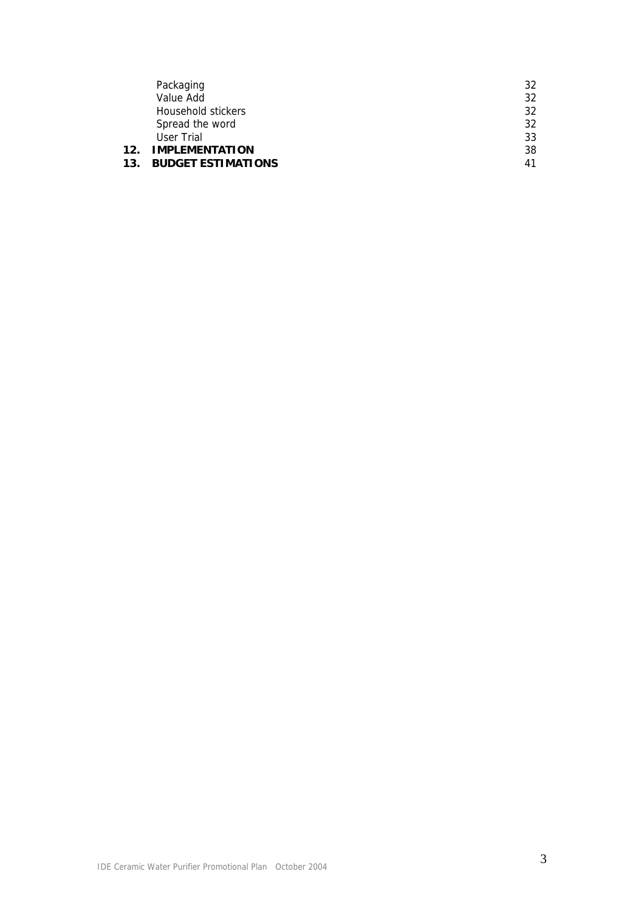|                 | Packaging                 | 32 |
|-----------------|---------------------------|----|
|                 | Value Add                 | 32 |
|                 | Household stickers        | 32 |
|                 | Spread the word           | 32 |
|                 | User Trial                | 33 |
| 12 <sub>1</sub> | <b>IMPLEMENTATION</b>     | 38 |
| 13.             | <b>BUDGET ESTIMATIONS</b> | 41 |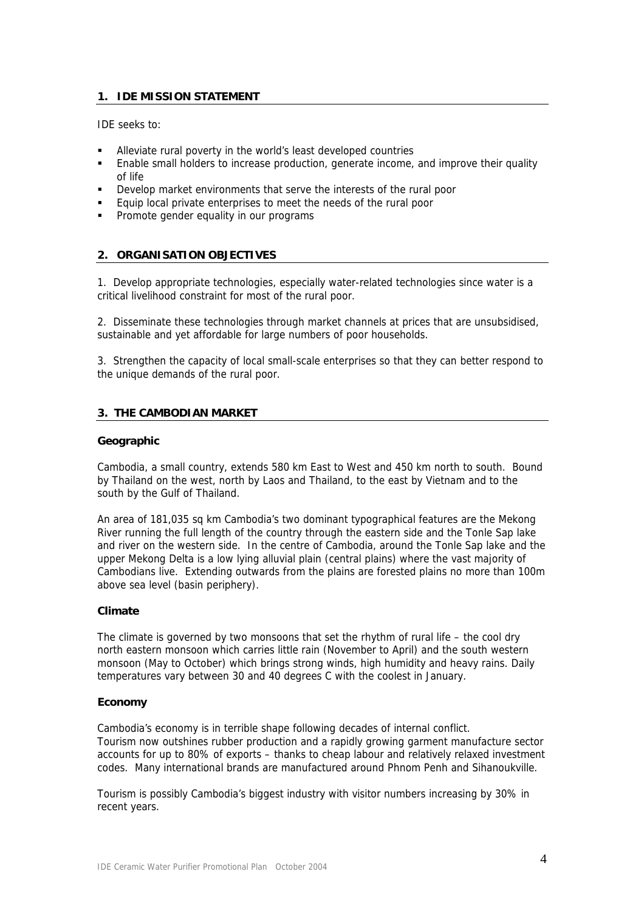# **1. IDE MISSION STATEMENT**

IDE seeks to:

- Alleviate rural poverty in the world's least developed countries
- Enable small holders to increase production, generate income, and improve their quality of life
- Develop market environments that serve the interests of the rural poor
- **Equip local private enterprises to meet the needs of the rural poor**
- Promote gender equality in our programs

## **2. ORGANISATION OBJECTIVES**

1. Develop appropriate technologies, especially water-related technologies since water is a critical livelihood constraint for most of the rural poor.

2. Disseminate these technologies through market channels at prices that are unsubsidised, sustainable and yet affordable for large numbers of poor households.

3. Strengthen the capacity of local small-scale enterprises so that they can better respond to the unique demands of the rural poor.

## **3. THE CAMBODIAN MARKET**

#### **Geographic**

Cambodia, a small country, extends 580 km East to West and 450 km north to south. Bound by Thailand on the west, north by Laos and Thailand, to the east by Vietnam and to the south by the Gulf of Thailand.

An area of 181,035 sq km Cambodia's two dominant typographical features are the Mekong River running the full length of the country through the eastern side and the Tonle Sap lake and river on the western side. In the centre of Cambodia, around the Tonle Sap lake and the upper Mekong Delta is a low lying alluvial plain (central plains) where the vast majority of Cambodians live. Extending outwards from the plains are forested plains no more than 100m above sea level (basin periphery).

## **Climate**

The climate is governed by two monsoons that set the rhythm of rural life – the cool dry north eastern monsoon which carries little rain (November to April) and the south western monsoon (May to October) which brings strong winds, high humidity and heavy rains. Daily temperatures vary between 30 and 40 degrees C with the coolest in January.

#### **Economy**

Cambodia's economy is in terrible shape following decades of internal conflict. Tourism now outshines rubber production and a rapidly growing garment manufacture sector accounts for up to 80% of exports – thanks to cheap labour and relatively relaxed investment codes. Many international brands are manufactured around Phnom Penh and Sihanoukville.

Tourism is possibly Cambodia's biggest industry with visitor numbers increasing by 30% in recent years.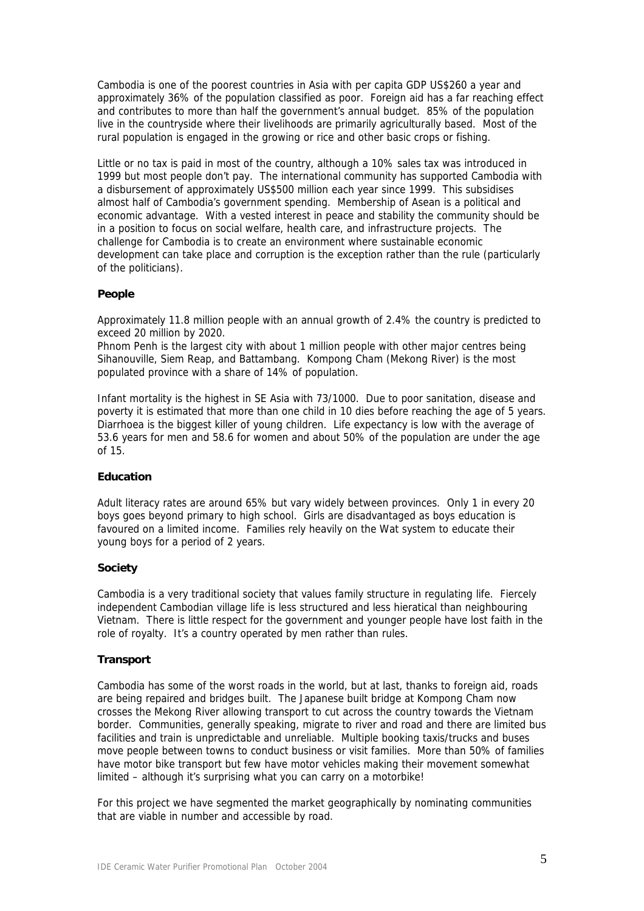Cambodia is one of the poorest countries in Asia with per capita GDP US\$260 a year and approximately 36% of the population classified as poor. Foreign aid has a far reaching effect and contributes to more than half the government's annual budget. 85% of the population live in the countryside where their livelihoods are primarily agriculturally based. Most of the rural population is engaged in the growing or rice and other basic crops or fishing.

Little or no tax is paid in most of the country, although a 10% sales tax was introduced in 1999 but most people don't pay. The international community has supported Cambodia with a disbursement of approximately US\$500 million each year since 1999. This subsidises almost half of Cambodia's government spending. Membership of Asean is a political and economic advantage. With a vested interest in peace and stability the community should be in a position to focus on social welfare, health care, and infrastructure projects. The challenge for Cambodia is to create an environment where sustainable economic development can take place and corruption is the exception rather than the rule (particularly of the politicians).

## **People**

Approximately 11.8 million people with an annual growth of 2.4% the country is predicted to exceed 20 million by 2020.

Phnom Penh is the largest city with about 1 million people with other major centres being Sihanouville, Siem Reap, and Battambang. Kompong Cham (Mekong River) is the most populated province with a share of 14% of population.

Infant mortality is the highest in SE Asia with 73/1000. Due to poor sanitation, disease and poverty it is estimated that more than one child in 10 dies before reaching the age of 5 years. Diarrhoea is the biggest killer of young children. Life expectancy is low with the average of 53.6 years for men and 58.6 for women and about 50% of the population are under the age of 15.

## **Education**

Adult literacy rates are around 65% but vary widely between provinces. Only 1 in every 20 boys goes beyond primary to high school. Girls are disadvantaged as boys education is favoured on a limited income. Families rely heavily on the Wat system to educate their young boys for a period of 2 years.

#### **Society**

Cambodia is a very traditional society that values family structure in regulating life. Fiercely independent Cambodian village life is less structured and less hieratical than neighbouring Vietnam. There is little respect for the government and younger people have lost faith in the role of royalty. It's a country operated by men rather than rules.

#### **Transport**

Cambodia has some of the worst roads in the world, but at last, thanks to foreign aid, roads are being repaired and bridges built. The Japanese built bridge at Kompong Cham now crosses the Mekong River allowing transport to cut across the country towards the Vietnam border. Communities, generally speaking, migrate to river and road and there are limited bus facilities and train is unpredictable and unreliable. Multiple booking taxis/trucks and buses move people between towns to conduct business or visit families. More than 50% of families have motor bike transport but few have motor vehicles making their movement somewhat limited – although it's surprising what you can carry on a motorbike!

For this project we have segmented the market geographically by nominating communities that are viable in number and accessible by road.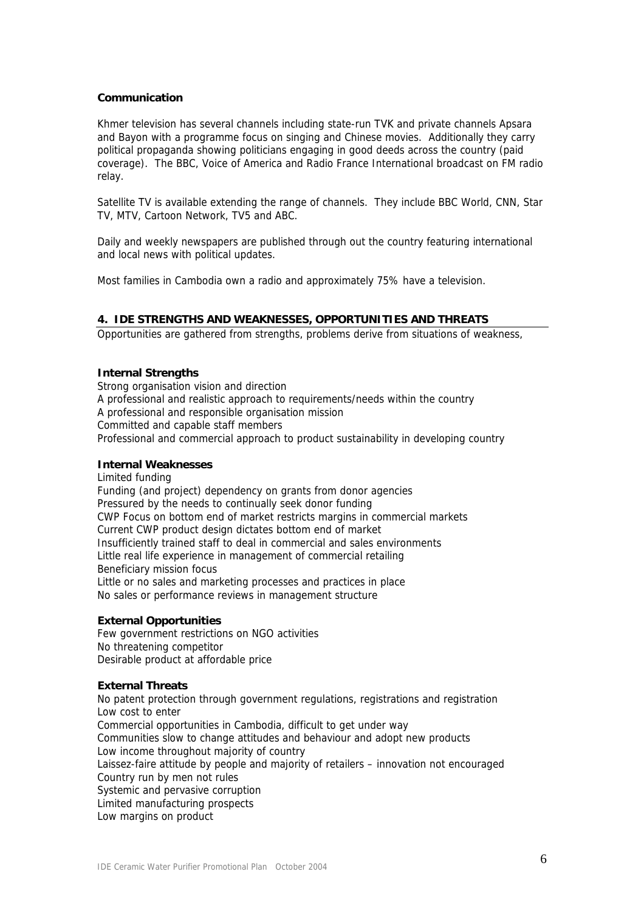## **Communication**

Khmer television has several channels including state-run TVK and private channels Apsara and Bayon with a programme focus on singing and Chinese movies. Additionally they carry political propaganda showing politicians engaging in good deeds across the country (paid coverage). The BBC, Voice of America and Radio France International broadcast on FM radio relay.

Satellite TV is available extending the range of channels. They include BBC World, CNN, Star TV, MTV, Cartoon Network, TV5 and ABC.

Daily and weekly newspapers are published through out the country featuring international and local news with political updates.

Most families in Cambodia own a radio and approximately 75% have a television.

## **4. IDE STRENGTHS AND WEAKNESSES, OPPORTUNITIES AND THREATS**

Opportunities are gathered from strengths, problems derive from situations of weakness,

#### **Internal Strengths**

Strong organisation vision and direction A professional and realistic approach to requirements/needs within the country A professional and responsible organisation mission Committed and capable staff members Professional and commercial approach to product sustainability in developing country

# **Internal Weaknesses**

Limited funding Funding (and project) dependency on grants from donor agencies Pressured by the needs to continually seek donor funding CWP Focus on bottom end of market restricts margins in commercial markets Current CWP product design dictates bottom end of market Insufficiently trained staff to deal in commercial and sales environments Little real life experience in management of commercial retailing Beneficiary mission focus Little or no sales and marketing processes and practices in place No sales or performance reviews in management structure

## **External Opportunities**

Few government restrictions on NGO activities No threatening competitor Desirable product at affordable price

#### **External Threats**

No patent protection through government regulations, registrations and registration Low cost to enter Commercial opportunities in Cambodia, difficult to get under way Communities slow to change attitudes and behaviour and adopt new products Low income throughout majority of country Laissez-faire attitude by people and majority of retailers – innovation not encouraged Country run by men not rules Systemic and pervasive corruption Limited manufacturing prospects Low margins on product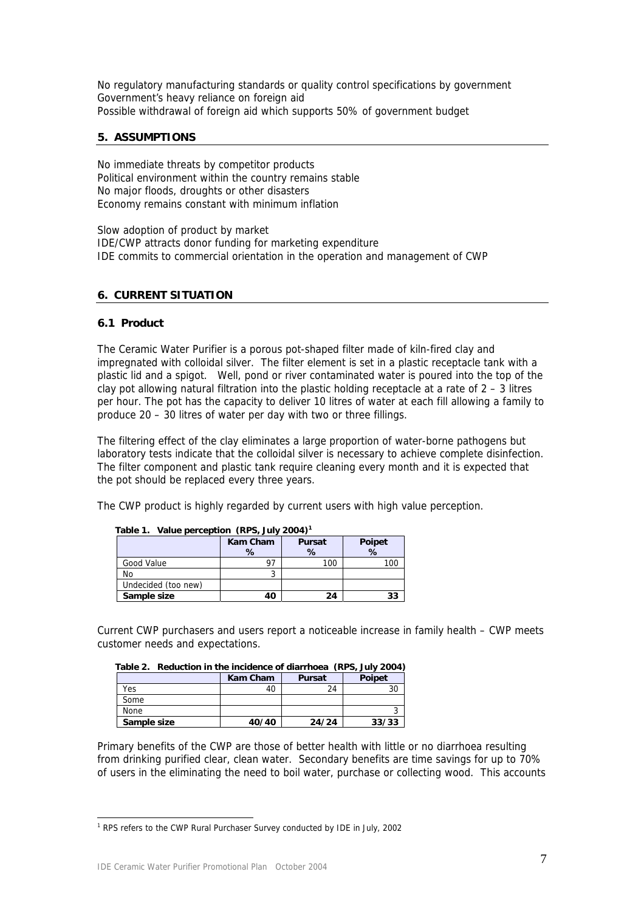No regulatory manufacturing standards or quality control specifications by government Government's heavy reliance on foreign aid Possible withdrawal of foreign aid which supports 50% of government budget

## **5. ASSUMPTIONS**

No immediate threats by competitor products Political environment within the country remains stable No major floods, droughts or other disasters Economy remains constant with minimum inflation

Slow adoption of product by market IDE/CWP attracts donor funding for marketing expenditure IDE commits to commercial orientation in the operation and management of CWP

## **6. CURRENT SITUATION**

## **6.1 Product**

The Ceramic Water Purifier is a porous pot-shaped filter made of kiln-fired clay and impregnated with colloidal silver. The filter element is set in a plastic receptacle tank with a plastic lid and a spigot. Well, pond or river contaminated water is poured into the top of the clay pot allowing natural filtration into the plastic holding receptacle at a rate of  $2 - 3$  litres per hour. The pot has the capacity to deliver 10 litres of water at each fill allowing a family to produce 20 – 30 litres of water per day with two or three fillings.

The filtering effect of the clay eliminates a large proportion of water-borne pathogens but laboratory tests indicate that the colloidal silver is necessary to achieve complete disinfection. The filter component and plastic tank require cleaning every month and it is expected that the pot should be replaced every three years.

The CWP product is highly regarded by current users with high value perception.

| Table 1. Value perception (RPS, July 2004) |                 |               |        |  |  |  |  |
|--------------------------------------------|-----------------|---------------|--------|--|--|--|--|
|                                            | <b>Kam Cham</b> | <b>Pursat</b> | Poipet |  |  |  |  |
|                                            | ℅               | %             | %      |  |  |  |  |
| Good Value                                 | 97              | 100           | 100    |  |  |  |  |
| No                                         |                 |               |        |  |  |  |  |
| Undecided (too new)                        |                 |               |        |  |  |  |  |
| Sample size                                | 40              | 24            | 33     |  |  |  |  |

 **Table 1. Value perception (RPS, July 2004)[1](#page-6-0)**

Current CWP purchasers and users report a noticeable increase in family health – CWP meets customer needs and expectations.

| Table 2. Reduction in the incidence of diarrhoea (RPS, July 2004) |       |       |       |  |  |  |  |
|-------------------------------------------------------------------|-------|-------|-------|--|--|--|--|
| Kam Cham<br><b>Poipet</b><br><b>Pursat</b>                        |       |       |       |  |  |  |  |
| Yes                                                               | 40    | 24    |       |  |  |  |  |
| Some                                                              |       |       |       |  |  |  |  |
| None                                                              |       |       |       |  |  |  |  |
| Sample size                                                       | 40/40 | 24/24 | 33/33 |  |  |  |  |

Primary benefits of the CWP are those of better health with little or no diarrhoea resulting from drinking purified clear, clean water. Secondary benefits are time savings for up to 70% of users in the eliminating the need to boil water, purchase or collecting wood. This accounts

 $\overline{a}$ 

<span id="page-6-0"></span><sup>&</sup>lt;sup>1</sup> RPS refers to the CWP Rural Purchaser Survey conducted by IDE in July, 2002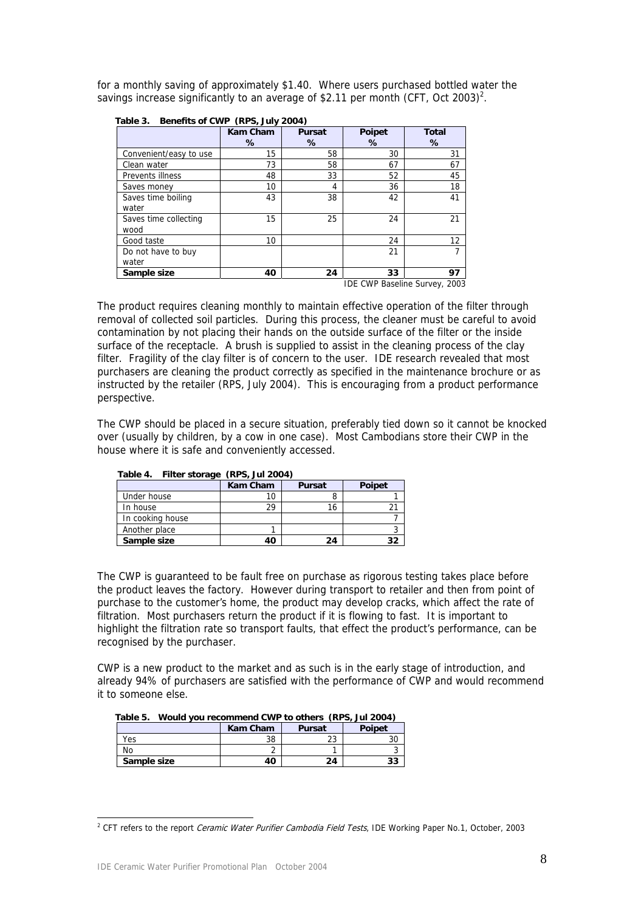for a monthly saving of approximately \$1.40. Where users purchased bottled water the savings increase significantly to an average of \$2.11 per month (CFT, Oct 2003)<sup>2</sup>.

|                               | <b>Kam Cham</b><br>% | Pursat<br>℅ | Poipet<br>% | <b>Total</b><br>℅ |
|-------------------------------|----------------------|-------------|-------------|-------------------|
| Convenient/easy to use        | 15                   | 58          | 30          | 31                |
| Clean water                   | 73                   | 58          | 67          | 67                |
| Prevents illness              | 48                   | 33          | 52          | 45                |
| Saves money                   | 10                   | 4           | 36          | 18                |
| Saves time boiling<br>water   | 43                   | 38          | 42          | 41                |
| Saves time collecting<br>wood | 15                   | 25          | 24          | 21                |
| Good taste                    | 10                   |             | 24          | 12                |
| Do not have to buy<br>water   |                      |             | 21          |                   |
| Sample size                   | 40                   | 24          | 33          | 97                |

 **Table 3. Benefits of CWP (RPS, July 2004)** 

IDE CWP Baseline Survey, 2003

The product requires cleaning monthly to maintain effective operation of the filter through removal of collected soil particles. During this process, the cleaner must be careful to avoid contamination by not placing their hands on the outside surface of the filter or the inside surface of the receptacle. A brush is supplied to assist in the cleaning process of the clay filter. Fragility of the clay filter is of concern to the user. IDE research revealed that most purchasers are cleaning the product correctly as specified in the maintenance brochure or as instructed by the retailer (RPS, July 2004). This is encouraging from a product performance perspective.

The CWP should be placed in a secure situation, preferably tied down so it cannot be knocked over (usually by children, by a cow in one case). Most Cambodians store their CWP in the house where it is safe and conveniently accessed.

| $1$ able 4. If the storage<br>(Kr J, JUI 2004) |          |               |               |  |  |  |
|------------------------------------------------|----------|---------------|---------------|--|--|--|
|                                                | Kam Cham | <b>Pursat</b> | <b>Poipet</b> |  |  |  |
| Under house                                    | IО       |               |               |  |  |  |
| In house                                       | 29       | 16            |               |  |  |  |
| In cooking house                               |          |               |               |  |  |  |
| Another place                                  |          |               |               |  |  |  |
| Sample size                                    | 40       | 24            | 32            |  |  |  |

 **Table 4. Filter storage (RPS, Jul 2004)** 

The CWP is guaranteed to be fault free on purchase as rigorous testing takes place before the product leaves the factory. However during transport to retailer and then from point of purchase to the customer's home, the product may develop cracks, which affect the rate of filtration. Most purchasers return the product if it is flowing to fast. It is important to highlight the filtration rate so transport faults, that effect the product's performance, can be recognised by the purchaser.

CWP is a new product to the market and as such is in the early stage of introduction, and already 94% of purchasers are satisfied with the performance of CWP and would recommend it to someone else.

|             | <b>Kam Cham</b> | <b>Pursat</b> | <b>Poipet</b> |
|-------------|-----------------|---------------|---------------|
| Yes         | 38              | าว<br>دے      |               |
| No          |                 |               |               |
| Sample size | 40              | 24            | 33            |

 $\overline{a}$ 

<span id="page-7-0"></span><sup>&</sup>lt;sup>2</sup> CFT refers to the report *Ceramic Water Purifier Cambodia Field Tests*, IDE Working Paper No.1, October, 2003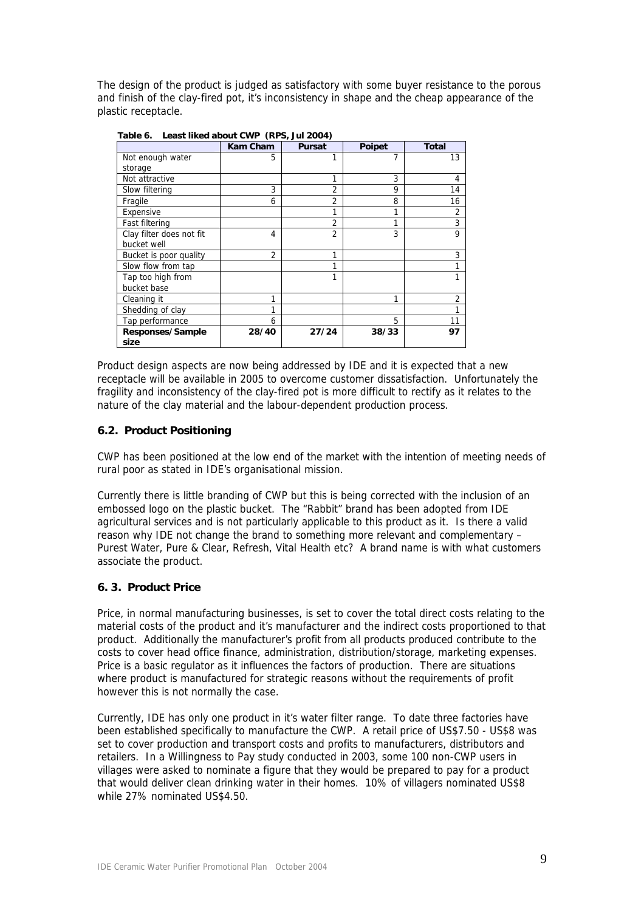The design of the product is judged as satisfactory with some buyer resistance to the porous and finish of the clay-fired pot, it's inconsistency in shape and the cheap appearance of the plastic receptacle.

|                          | <b>Kam Cham</b> | <b>Pursat</b>  | Poipet | <b>Total</b> |
|--------------------------|-----------------|----------------|--------|--------------|
| Not enough water         | 5               |                |        | 13           |
| storage                  |                 |                |        |              |
| Not attractive           |                 | 1              | 3      | 4            |
| Slow filtering           | 3               | $\overline{2}$ | 9      | 14           |
| Fragile                  | 6               | 2              | 8      | 16           |
| Expensive                |                 | 1              | 1      | 2            |
| Fast filtering           |                 | 2              |        | 3            |
| Clay filter does not fit | 4               | $\overline{2}$ | 3      | 9            |
| bucket well              |                 |                |        |              |
| Bucket is poor quality   | $\overline{2}$  | 1              |        | 3            |
| Slow flow from tap       |                 | 1              |        |              |
| Tap too high from        |                 | 1              |        |              |
| bucket base              |                 |                |        |              |
| Cleaning it              |                 |                | 1      | 2            |
| Shedding of clay         |                 |                |        |              |
| Tap performance          | 6               |                | 5      | 11           |
| Responses/Sample         | 28/40           | 27/24          | 38/33  | 97           |
| size                     |                 |                |        |              |

 **Table 6. Least liked about CWP (RPS, Jul 2004)** 

Product design aspects are now being addressed by IDE and it is expected that a new receptacle will be available in 2005 to overcome customer dissatisfaction. Unfortunately the fragility and inconsistency of the clay-fired pot is more difficult to rectify as it relates to the nature of the clay material and the labour-dependent production process.

## **6.2. Product Positioning**

CWP has been positioned at the low end of the market with the intention of meeting needs of rural poor as stated in IDE's organisational mission.

Currently there is little branding of CWP but this is being corrected with the inclusion of an embossed logo on the plastic bucket. The "Rabbit" brand has been adopted from IDE agricultural services and is not particularly applicable to this product as it. Is there a valid reason why IDE not change the brand to something more relevant and complementary – Purest Water, Pure & Clear, Refresh, Vital Health etc? A brand name is with what customers associate the product.

## **6. 3. Product Price**

Price, in normal manufacturing businesses, is set to cover the total direct costs relating to the material costs of the product and it's manufacturer and the indirect costs proportioned to that product. Additionally the manufacturer's profit from all products produced contribute to the costs to cover head office finance, administration, distribution/storage, marketing expenses. Price is a basic regulator as it influences the factors of production. There are situations where product is manufactured for strategic reasons without the requirements of profit however this is not normally the case.

Currently, IDE has only one product in it's water filter range. To date three factories have been established specifically to manufacture the CWP. A retail price of US\$7.50 - US\$8 was set to cover production and transport costs and profits to manufacturers, distributors and retailers. In a Willingness to Pay study conducted in 2003, some 100 non-CWP users in villages were asked to nominate a figure that they would be prepared to pay for a product that would deliver clean drinking water in their homes. 10% of villagers nominated US\$8 while 27% nominated US\$4.50.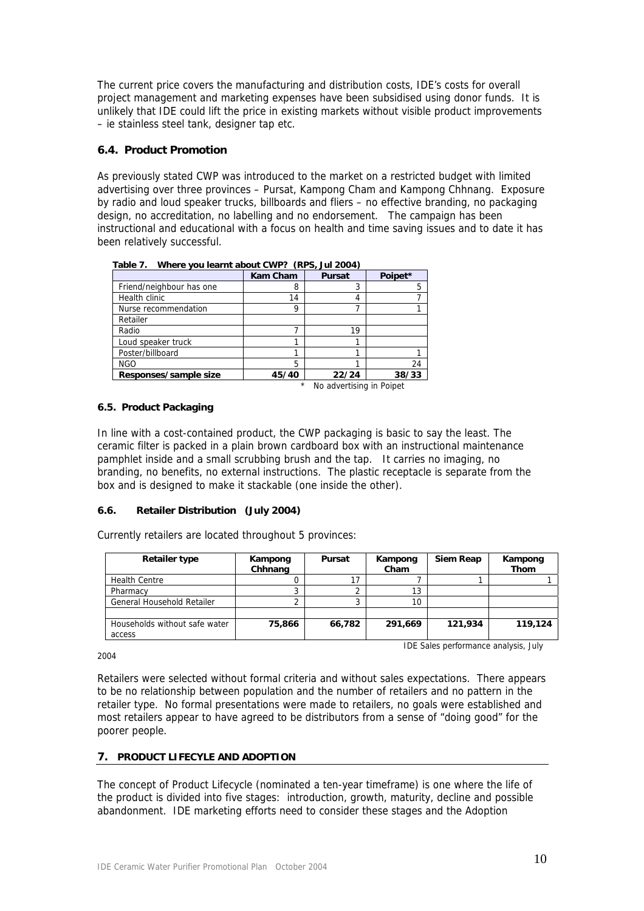The current price covers the manufacturing and distribution costs, IDE's costs for overall project management and marketing expenses have been subsidised using donor funds. It is unlikely that IDE could lift the price in existing markets without visible product improvements – ie stainless steel tank, designer tap etc.

# **6.4. Product Promotion**

As previously stated CWP was introduced to the market on a restricted budget with limited advertising over three provinces – Pursat, Kampong Cham and Kampong Chhnang. Exposure by radio and loud speaker trucks, billboards and fliers – no effective branding, no packaging design, no accreditation, no labelling and no endorsement. The campaign has been instructional and educational with a focus on health and time saving issues and to date it has been relatively successful.

|                          | <b>Kam Cham</b> | <b>Pursat</b>                   | Poipet* |
|--------------------------|-----------------|---------------------------------|---------|
| Friend/neighbour has one |                 |                                 | 5       |
| Health clinic            | 14              | 4                               |         |
| Nurse recommendation     | o               |                                 |         |
| Retailer                 |                 |                                 |         |
| Radio                    |                 | 19                              |         |
| Loud speaker truck       |                 |                                 |         |
| Poster/billboard         |                 |                                 |         |
| <b>NGO</b>               | 5               |                                 | 24      |
| Responses/sample size    | 45/40           | 22/24                           | 38/33   |
|                          |                 | _ _ _ _ _ _ _ _ _ _ _ _ _ _ _ _ |         |

 **Table 7. Where you learnt about CWP? (RPS, Jul 2004)** 

No advertising in Poipet

## **6.5. Product Packaging**

In line with a cost-contained product, the CWP packaging is basic to say the least. The ceramic filter is packed in a plain brown cardboard box with an instructional maintenance pamphlet inside and a small scrubbing brush and the tap. It carries no imaging, no branding, no benefits, no external instructions. The plastic receptacle is separate from the box and is designed to make it stackable (one inside the other).

## **6.6. Retailer Distribution (July 2004)**

Currently retailers are located throughout 5 provinces:

| Retailer type                 | Kampong<br>Chhnang | Pursat | Kampong<br>Cham | Siem Reap | Kampong<br><b>Thom</b> |
|-------------------------------|--------------------|--------|-----------------|-----------|------------------------|
| <b>Health Centre</b>          |                    |        |                 |           |                        |
| Pharmacy                      |                    |        | 1つ              |           |                        |
| General Household Retailer    |                    |        | 10              |           |                        |
|                               |                    |        |                 |           |                        |
| Households without safe water | 75,866             | 66,782 | 291,669         | 121,934   | 119,124                |
| access                        |                    |        |                 |           |                        |

2004

IDE Sales performance analysis, July

Retailers were selected without formal criteria and without sales expectations. There appears to be no relationship between population and the number of retailers and no pattern in the retailer type. No formal presentations were made to retailers, no goals were established and most retailers appear to have agreed to be distributors from a sense of "doing good" for the poorer people.

## **7. PRODUCT LIFECYLE AND ADOPTION**

The concept of Product Lifecycle (nominated a ten-year timeframe) is one where the life of the product is divided into five stages: introduction, growth, maturity, decline and possible abandonment. IDE marketing efforts need to consider these stages and the Adoption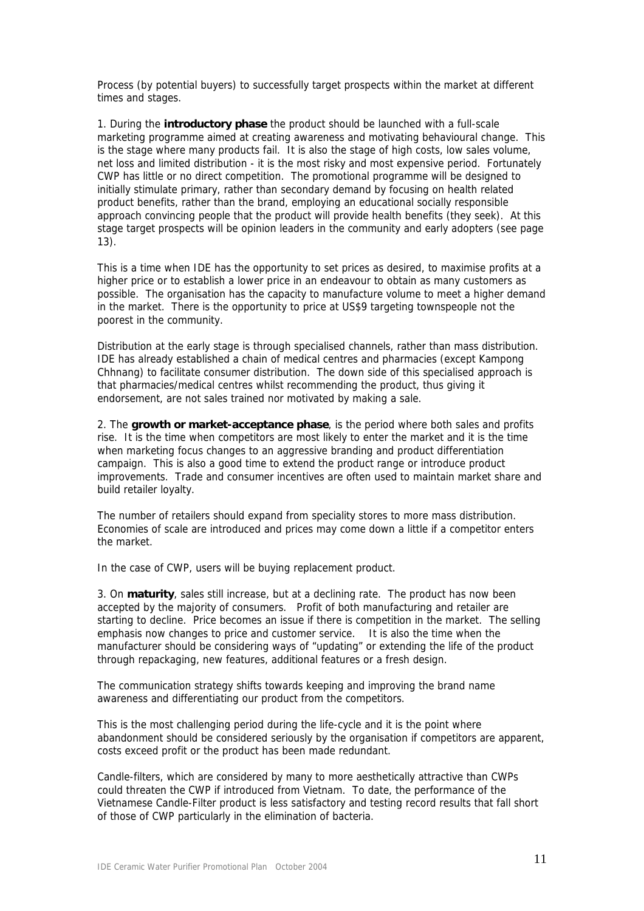Process (by potential buyers) to successfully target prospects within the market at different times and stages.

1. During the **introductory phase** the product should be launched with a full-scale marketing programme aimed at creating awareness and motivating behavioural change. This is the stage where many products fail. It is also the stage of high costs, low sales volume, net loss and limited distribution - it is the most risky and most expensive period. Fortunately CWP has little or no direct competition. The promotional programme will be designed to initially stimulate primary, rather than secondary demand by focusing on health related product benefits, rather than the brand, employing an educational socially responsible approach convincing people that the product will provide health benefits (they seek). At this stage target prospects will be opinion leaders in the community and early adopters (see page 13).

This is a time when IDE has the opportunity to set prices as desired, to maximise profits at a higher price or to establish a lower price in an endeavour to obtain as many customers as possible. The organisation has the capacity to manufacture volume to meet a higher demand in the market. There is the opportunity to price at US\$9 targeting townspeople not the poorest in the community.

Distribution at the early stage is through specialised channels, rather than mass distribution. IDE has already established a chain of medical centres and pharmacies (except Kampong Chhnang) to facilitate consumer distribution. The down side of this specialised approach is that pharmacies/medical centres whilst recommending the product, thus giving it endorsement, are not sales trained nor motivated by making a sale.

2. The **growth or market-acceptance phase**, is the period where both sales and profits rise. It is the time when competitors are most likely to enter the market and it is the time when marketing focus changes to an aggressive branding and product differentiation campaign. This is also a good time to extend the product range or introduce product improvements. Trade and consumer incentives are often used to maintain market share and build retailer loyalty.

The number of retailers should expand from speciality stores to more mass distribution. Economies of scale are introduced and prices may come down a little if a competitor enters the market.

In the case of CWP, users will be buying replacement product.

3. On **maturity**, sales still increase, but at a declining rate. The product has now been accepted by the majority of consumers. Profit of both manufacturing and retailer are starting to decline. Price becomes an issue if there is competition in the market. The selling emphasis now changes to price and customer service. It is also the time when the manufacturer should be considering ways of "updating" or extending the life of the product through repackaging, new features, additional features or a fresh design.

The communication strategy shifts towards keeping and improving the brand name awareness and differentiating our product from the competitors.

This is the most challenging period during the life-cycle and it is the point where abandonment should be considered seriously by the organisation if competitors are apparent, costs exceed profit or the product has been made redundant.

Candle-filters, which are considered by many to more aesthetically attractive than CWPs could threaten the CWP if introduced from Vietnam. To date, the performance of the Vietnamese Candle-Filter product is less satisfactory and testing record results that fall short of those of CWP particularly in the elimination of bacteria.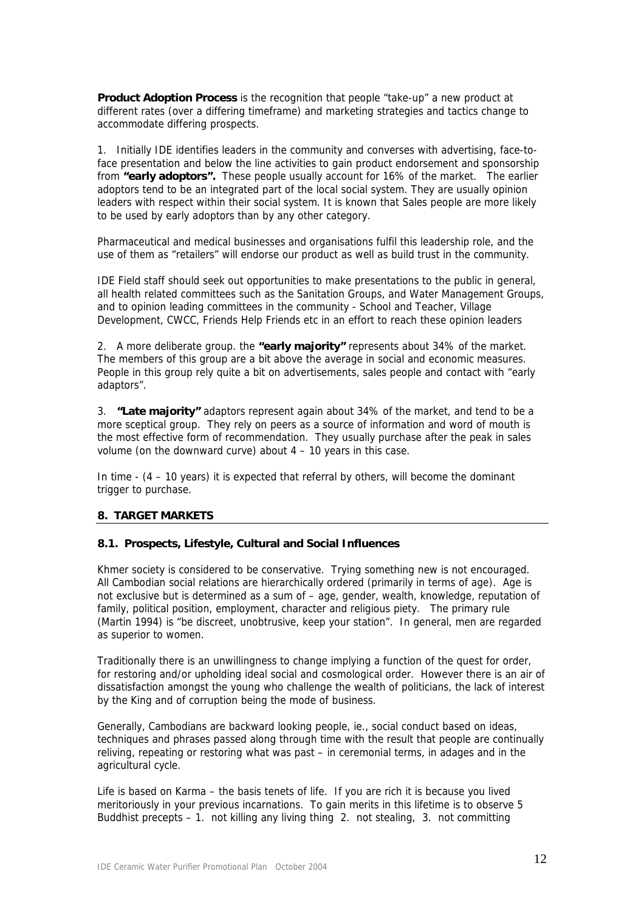**Product Adoption Process** is the recognition that people "take-up" a new product at different rates (over a differing timeframe) and marketing strategies and tactics change to accommodate differing prospects.

1. Initially IDE identifies leaders in the community and converses with advertising, face-toface presentation and below the line activities to gain product endorsement and sponsorship from **"early adoptors".** These people usually account for 16% of the market. The earlier adoptors tend to be an integrated part of the local social system. They are usually opinion leaders with respect within their social system. It is known that Sales people are more likely to be used by early adoptors than by any other category.

Pharmaceutical and medical businesses and organisations fulfil this leadership role, and the use of them as "retailers" will endorse our product as well as build trust in the community.

IDE Field staff should seek out opportunities to make presentations to the public in general, all health related committees such as the Sanitation Groups, and Water Management Groups, and to opinion leading committees in the community - School and Teacher, Village Development, CWCC, Friends Help Friends etc in an effort to reach these opinion leaders

2. A more deliberate group. the **"early majority"** represents about 34% of the market. The members of this group are a bit above the average in social and economic measures. People in this group rely quite a bit on advertisements, sales people and contact with "early adaptors".

3. **"Late majority"** adaptors represent again about 34% of the market, and tend to be a more sceptical group. They rely on peers as a source of information and word of mouth is the most effective form of recommendation. They usually purchase after the peak in sales volume (on the downward curve) about 4 – 10 years in this case.

In time - (4 – 10 years) it is expected that referral by others, will become the dominant trigger to purchase.

## **8. TARGET MARKETS**

## **8.1. Prospects, Lifestyle, Cultural and Social Influences**

Khmer society is considered to be conservative. Trying something new is not encouraged. All Cambodian social relations are hierarchically ordered (primarily in terms of age). Age is not exclusive but is determined as a sum of – age, gender, wealth, knowledge, reputation of family, political position, employment, character and religious piety. The primary rule (Martin 1994) is "be discreet, unobtrusive, keep your station". In general, men are regarded as superior to women.

Traditionally there is an unwillingness to change implying a function of the quest for order, for restoring and/or upholding ideal social and cosmological order. However there is an air of dissatisfaction amongst the young who challenge the wealth of politicians, the lack of interest by the King and of corruption being the mode of business.

Generally, Cambodians are backward looking people, ie., social conduct based on ideas, techniques and phrases passed along through time with the result that people are continually reliving, repeating or restoring what was past – in ceremonial terms, in adages and in the agricultural cycle.

Life is based on Karma – the basis tenets of life. If you are rich it is because you lived meritoriously in your previous incarnations. To gain merits in this lifetime is to observe 5 Buddhist precepts – 1. not killing any living thing 2. not stealing, 3. not committing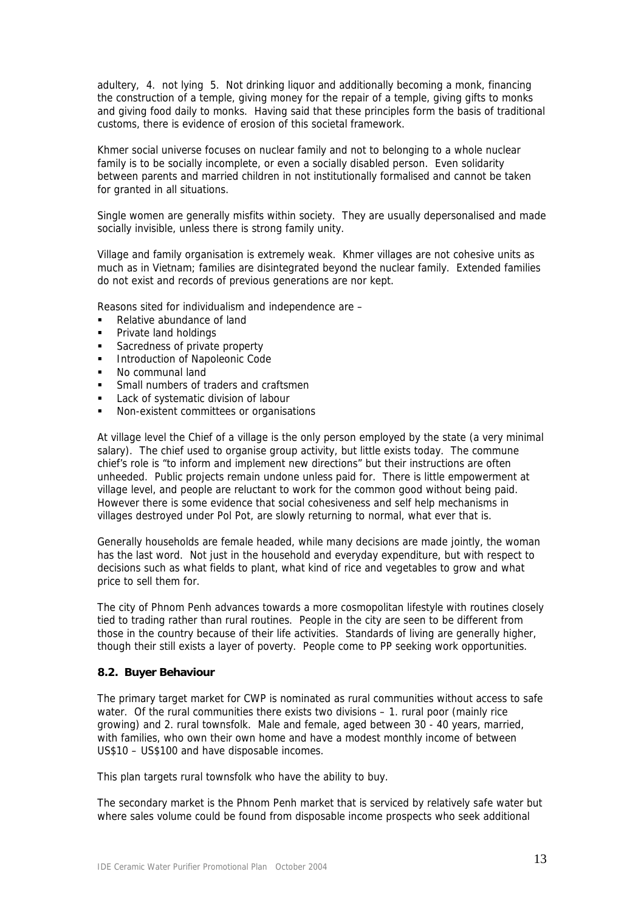adultery, 4. not lying 5. Not drinking liquor and additionally becoming a monk, financing the construction of a temple, giving money for the repair of a temple, giving gifts to monks and giving food daily to monks. Having said that these principles form the basis of traditional customs, there is evidence of erosion of this societal framework.

Khmer social universe focuses on nuclear family and not to belonging to a whole nuclear family is to be socially incomplete, or even a socially disabled person. Even solidarity between parents and married children in not institutionally formalised and cannot be taken for granted in all situations.

Single women are generally misfits within society. They are usually depersonalised and made socially invisible, unless there is strong family unity.

Village and family organisation is extremely weak. Khmer villages are not cohesive units as much as in Vietnam; families are disintegrated beyond the nuclear family. Extended families do not exist and records of previous generations are nor kept.

Reasons sited for individualism and independence are –

- Relative abundance of land
- Private land holdings
- Sacredness of private property
- Introduction of Napoleonic Code
- No communal land
- **Small numbers of traders and craftsmen**
- Lack of systematic division of labour
- Non-existent committees or organisations

At village level the Chief of a village is the only person employed by the state (a very minimal salary). The chief used to organise group activity, but little exists today. The commune chief's role is "to inform and implement new directions" but their instructions are often unheeded. Public projects remain undone unless paid for. There is little empowerment at village level, and people are reluctant to work for the common good without being paid. However there is some evidence that social cohesiveness and self help mechanisms in villages destroyed under Pol Pot, are slowly returning to normal, what ever that is.

Generally households are female headed, while many decisions are made jointly, the woman has the last word. Not just in the household and everyday expenditure, but with respect to decisions such as what fields to plant, what kind of rice and vegetables to grow and what price to sell them for.

The city of Phnom Penh advances towards a more cosmopolitan lifestyle with routines closely tied to trading rather than rural routines. People in the city are seen to be different from those in the country because of their life activities. Standards of living are generally higher, though their still exists a layer of poverty. People come to PP seeking work opportunities.

## **8.2. Buyer Behaviour**

The primary target market for CWP is nominated as rural communities without access to safe water. Of the rural communities there exists two divisions - 1. rural poor (mainly rice growing) and 2. rural townsfolk. Male and female, aged between 30 - 40 years, married, with families, who own their own home and have a modest monthly income of between US\$10 – US\$100 and have disposable incomes.

This plan targets rural townsfolk who have the ability to buy.

The secondary market is the Phnom Penh market that is serviced by relatively safe water but where sales volume could be found from disposable income prospects who seek additional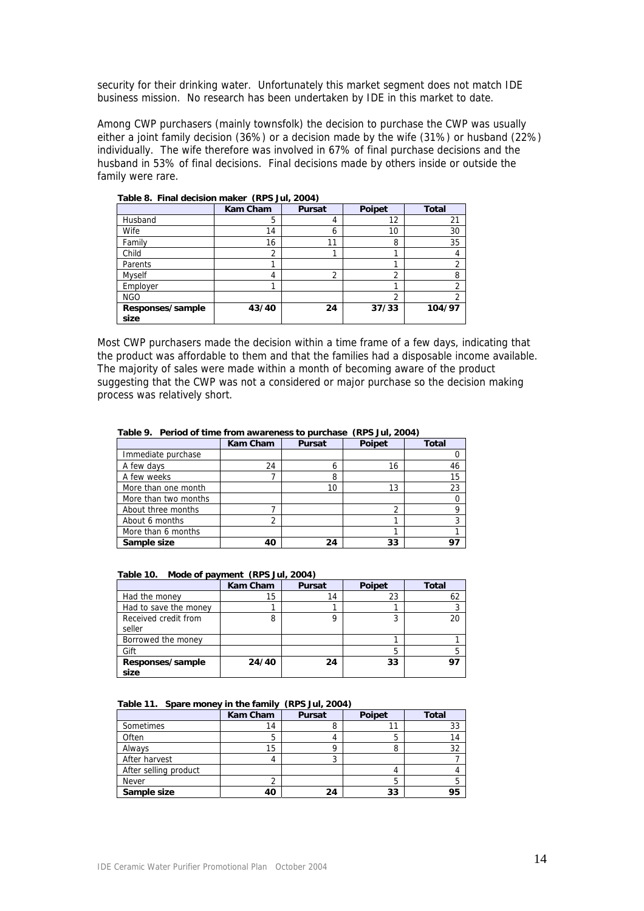security for their drinking water. Unfortunately this market segment does not match IDE business mission. No research has been undertaken by IDE in this market to date.

Among CWP purchasers (mainly townsfolk) the decision to purchase the CWP was usually either a joint family decision (36%) or a decision made by the wife (31%) or husband (22%) individually. The wife therefore was involved in 67% of final purchase decisions and the husband in 53% of final decisions. Final decisions made by others inside or outside the family were rare.

|                          | <b>Kam Cham</b> | <b>Pursat</b> | Poipet | <b>Total</b> |
|--------------------------|-----------------|---------------|--------|--------------|
| Husband                  | 5               | 4             | 12     | 21           |
| Wife                     | 14              | 6             | 10     | 30           |
| Family                   | 16              | 11            | 8      | 35           |
| Child                    | ◠               |               |        | 4            |
| Parents                  |                 |               |        | 2            |
| <b>Myself</b>            | 4               | າ<br>∠        | ົ      | 8            |
| Employer                 |                 |               |        | າ            |
| <b>NGO</b>               |                 |               | ົ      | າ            |
| Responses/sample<br>size | 43/40           | 24            | 37/33  | 104/97       |

 **Table 8. Final decision maker (RPS Jul, 2004)** 

Most CWP purchasers made the decision within a time frame of a few days, indicating that the product was affordable to them and that the families had a disposable income available. The majority of sales were made within a month of becoming aware of the product suggesting that the CWP was not a considered or major purchase so the decision making process was relatively short.

|                      | <b>Kam Cham</b> | <b>Pursat</b> | <b>Poipet</b> | <b>Total</b> |
|----------------------|-----------------|---------------|---------------|--------------|
| Immediate purchase   |                 |               |               |              |
| A few days           | 24              | h             | 16            | 46           |
| A few weeks          |                 | 8             |               | 15           |
| More than one month  |                 | 10            | 13            | 23           |
| More than two months |                 |               |               |              |
| About three months   |                 |               | ∍             |              |
| About 6 months       |                 |               |               |              |
| More than 6 months   |                 |               |               |              |
| Sample size          | 40              | 24            | 33            |              |

 **Table 9. Period of time from awareness to purchase (RPS Jul, 2004)** 

| Table 10. Mode of payment (RPS Jul, 2004) |          |               |  |
|-------------------------------------------|----------|---------------|--|
|                                           | Kam Cham | <b>Pursat</b> |  |
|                                           |          |               |  |

|                                | <b>Kam Cham</b> | <b>Pursat</b> | <b>Poipet</b> | <b>Total</b> |
|--------------------------------|-----------------|---------------|---------------|--------------|
| Had the money                  | 15              | 14            | 23            | 62           |
| Had to save the money          |                 |               |               |              |
| Received credit from<br>seller | 8               | O             | າ             | 20           |
| Borrowed the money             |                 |               |               |              |
| Gift                           |                 |               |               | b            |
| Responses/sample<br>size       | 24/40           | 24            | 33            | 97           |

|  |  |  | Table 11. Spare money in the family (RPS Jul, 2004) |
|--|--|--|-----------------------------------------------------|
|--|--|--|-----------------------------------------------------|

|                       | <b>Kam Cham</b> | <b>Pursat</b> | Poipet | <b>Total</b> |
|-----------------------|-----------------|---------------|--------|--------------|
| Sometimes             | 14              | 8             |        | 33           |
| Often                 |                 |               | h      | 14           |
| Always                | 15              |               |        | 32           |
| After harvest         |                 | J             |        |              |
| After selling product |                 |               |        |              |
| <b>Never</b>          |                 |               |        |              |
| Sample size           | 40              | 24            | 33     | 95           |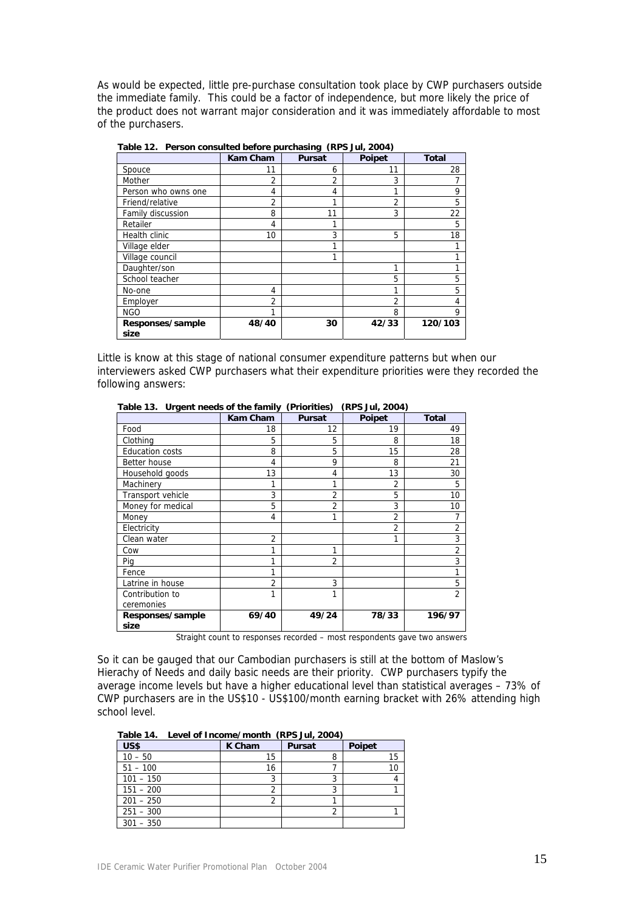As would be expected, little pre-purchase consultation took place by CWP purchasers outside the immediate family. This could be a factor of independence, but more likely the price of the product does not warrant major consideration and it was immediately affordable to most of the purchasers.

|                          | <b>Kam Cham</b> | <b>Pursat</b> | Poipet         | <b>Total</b> |
|--------------------------|-----------------|---------------|----------------|--------------|
| Spouce                   | 11              | 6             | 11             | 28           |
| Mother                   | っ               | 2             | 3              |              |
| Person who owns one      | 4               | 4             | 1              | 9            |
| Friend/relative          | 2               |               | $\overline{2}$ | 5            |
| Family discussion        | 8               | 11            | 3              | 22           |
| Retailer                 | 4               |               |                | 5            |
| Health clinic            | 10              | 3             | 5              | 18           |
| Village elder            |                 | 1             |                |              |
| Village council          |                 |               |                |              |
| Daughter/son             |                 |               | 1              |              |
| School teacher           |                 |               | 5              | 5            |
| No-one                   | 4               |               |                | 5            |
| Employer                 | 2               |               | 2              | 4            |
| <b>NGO</b>               |                 |               | 8              | 9            |
| Responses/sample<br>size | 48/40           | 30            | 42/33          | 120/103      |

 **Table 12. Person consulted before purchasing (RPS Jul, 2004)** 

Little is know at this stage of national consumer expenditure patterns but when our interviewers asked CWP purchasers what their expenditure priorities were they recorded the following answers:

|                        | <b>Kam Cham</b> | <b>Pursat</b>  | Poipet         | <b>Total</b>   |
|------------------------|-----------------|----------------|----------------|----------------|
| Food                   | 18              | 12             | 19             | 49             |
| Clothing               | 5               | 5              | 8              | 18             |
| <b>Education costs</b> | 8               | 5              | 15             | 28             |
| Better house           | 4               | 9              | 8              | 21             |
| Household goods        | 13              | 4              | 13             | 30             |
| Machinery              | 1               | 1              | 2              | 5              |
| Transport vehicle      | 3               | 2              | 5              | 10             |
| Money for medical      | 5               | 2              | 3              | 10             |
| Money                  | 4               | 1              | $\overline{2}$ | 7              |
| Electricity            |                 |                | 2              | $\overline{2}$ |
| Clean water            | 2               |                |                | 3              |
| Cow                    |                 | 1              |                | $\overline{2}$ |
| Pig                    |                 | $\overline{2}$ |                | 3              |
| Fence                  | 1               |                |                | 1              |
| Latrine in house       | $\mathfrak{D}$  | 3              |                | 5              |
| Contribution to        |                 | 1              |                | $\overline{2}$ |
| ceremonies             |                 |                |                |                |
| Responses/sample       | 69/40           | 49/24          | 78/33          | 196/97         |
| size                   |                 |                |                |                |

 **Table 13. Urgent needs of the family (Priorities) (RPS Jul, 2004)** 

Straight count to responses recorded – most respondents gave two answers

So it can be gauged that our Cambodian purchasers is still at the bottom of Maslow's Hierachy of Needs and daily basic needs are their priority. CWP purchasers typify the average income levels but have a higher educational level than statistical averages – 73% of CWP purchasers are in the US\$10 - US\$100/month earning bracket with 26% attending high school level.

 **Table 14. Level of Income/month (RPS Jul, 2004)** 

| US\$        | K Cham | <b>Pursat</b> | <b>Poipet</b> |
|-------------|--------|---------------|---------------|
| $10 - 50$   | 15     | о<br>ň        | 15            |
| $51 - 100$  | 16     |               |               |
| $101 - 150$ |        |               |               |
| $151 - 200$ |        |               |               |
| $201 - 250$ |        |               |               |
| $251 - 300$ |        |               |               |
| $301 - 350$ |        |               |               |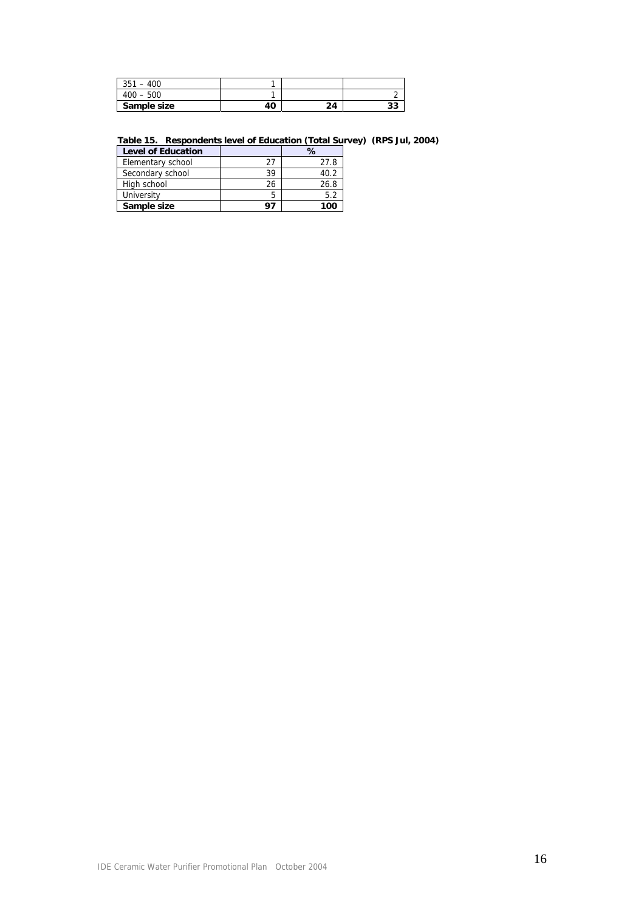| 351<br>$-400$ |    |    |   |
|---------------|----|----|---|
| $400 - 500$   |    |    |   |
| Sample size   | 40 | 24 | ີ |

#### **Table 15. Respondents level of Education (Total Survey) (RPS Jul, 2004)**

| <b>Level of Education</b> |    | %    |
|---------------------------|----|------|
| Elementary school         | 27 | 27.8 |
| Secondary school          | 39 | 40.2 |
| High school               | 26 | 26.8 |
| University                | 5  | 5.2  |
| Sample size               | 97 | 100  |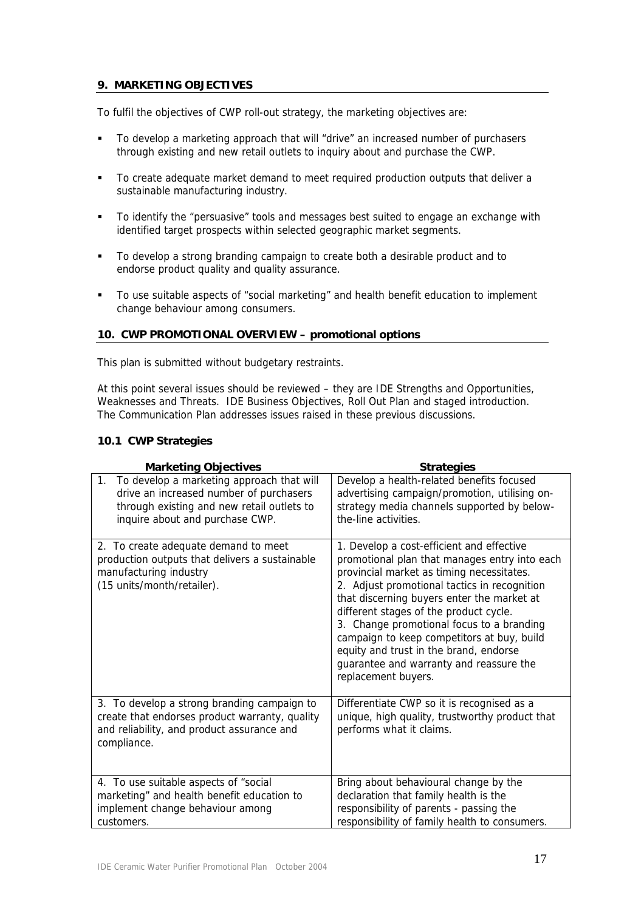# **9. MARKETING OBJECTIVES**

To fulfil the objectives of CWP roll-out strategy, the marketing objectives are:

- To develop a marketing approach that will "drive" an increased number of purchasers through existing and new retail outlets to inquiry about and purchase the CWP.
- To create adequate market demand to meet required production outputs that deliver a sustainable manufacturing industry.
- To identify the "persuasive" tools and messages best suited to engage an exchange with identified target prospects within selected geographic market segments.
- To develop a strong branding campaign to create both a desirable product and to endorse product quality and quality assurance.
- To use suitable aspects of "social marketing" and health benefit education to implement change behaviour among consumers.

## **10. CWP PROMOTIONAL OVERVIEW – promotional options**

This plan is submitted without budgetary restraints.

At this point several issues should be reviewed – they are IDE Strengths and Opportunities, Weaknesses and Threats. IDE Business Objectives, Roll Out Plan and staged introduction. The Communication Plan addresses issues raised in these previous discussions.

## **10.1 CWP Strategies**

| <b>Marketing Objectives</b>                                                                                                                                                 | <b>Strategies</b>                                                                                                                                                                                                                                                                                                                                                                                                                                                                      |
|-----------------------------------------------------------------------------------------------------------------------------------------------------------------------------|----------------------------------------------------------------------------------------------------------------------------------------------------------------------------------------------------------------------------------------------------------------------------------------------------------------------------------------------------------------------------------------------------------------------------------------------------------------------------------------|
| To develop a marketing approach that will<br>1.<br>drive an increased number of purchasers<br>through existing and new retail outlets to<br>inquire about and purchase CWP. | Develop a health-related benefits focused<br>advertising campaign/promotion, utilising on-<br>strategy media channels supported by below-<br>the-line activities.                                                                                                                                                                                                                                                                                                                      |
| 2. To create adequate demand to meet<br>production outputs that delivers a sustainable<br>manufacturing industry<br>(15 units/month/retailer).                              | 1. Develop a cost-efficient and effective<br>promotional plan that manages entry into each<br>provincial market as timing necessitates.<br>2. Adjust promotional tactics in recognition<br>that discerning buyers enter the market at<br>different stages of the product cycle.<br>3. Change promotional focus to a branding<br>campaign to keep competitors at buy, build<br>equity and trust in the brand, endorse<br>guarantee and warranty and reassure the<br>replacement buyers. |
| 3. To develop a strong branding campaign to<br>create that endorses product warranty, quality<br>and reliability, and product assurance and<br>compliance.                  | Differentiate CWP so it is recognised as a<br>unique, high quality, trustworthy product that<br>performs what it claims.                                                                                                                                                                                                                                                                                                                                                               |
| 4. To use suitable aspects of "social<br>marketing" and health benefit education to<br>implement change behaviour among<br>customers.                                       | Bring about behavioural change by the<br>declaration that family health is the<br>responsibility of parents - passing the<br>responsibility of family health to consumers.                                                                                                                                                                                                                                                                                                             |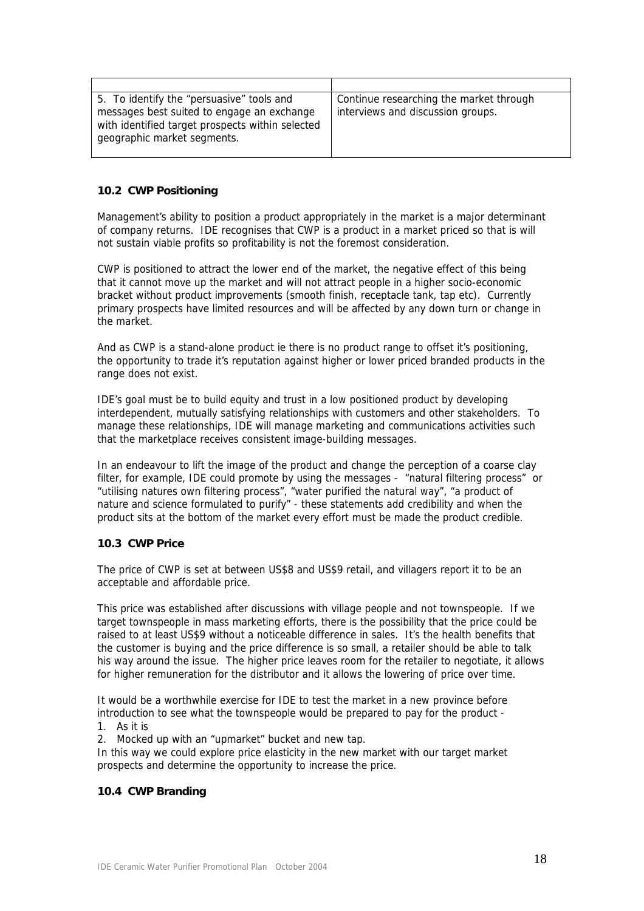| 5. To identify the "persuasive" tools and<br>messages best suited to engage an exchange<br>with identified target prospects within selected<br>geographic market segments. | Continue researching the market through<br>interviews and discussion groups. |
|----------------------------------------------------------------------------------------------------------------------------------------------------------------------------|------------------------------------------------------------------------------|

## **10.2 CWP Positioning**

Management's ability to position a product appropriately in the market is a major determinant of company returns. IDE recognises that CWP is a product in a market priced so that is will not sustain viable profits so profitability is not the foremost consideration.

CWP is positioned to attract the lower end of the market, the negative effect of this being that it cannot move up the market and will not attract people in a higher socio-economic bracket without product improvements (smooth finish, receptacle tank, tap etc). Currently primary prospects have limited resources and will be affected by any down turn or change in the market.

And as CWP is a stand-alone product ie there is no product range to offset it's positioning, the opportunity to trade it's reputation against higher or lower priced branded products in the range does not exist.

IDE's goal must be to build equity and trust in a low positioned product by developing interdependent, mutually satisfying relationships with customers and other stakeholders. To manage these relationships, IDE will manage marketing and communications activities such that the marketplace receives consistent image-building messages.

In an endeavour to lift the image of the product and change the perception of a coarse clay filter, for example, IDE could promote by using the messages - "natural filtering process" or "utilising natures own filtering process", "water purified the natural way", "a product of nature and science formulated to purify" - these statements add credibility and when the product sits at the bottom of the market every effort must be made the product credible.

## **10.3 CWP Price**

The price of CWP is set at between US\$8 and US\$9 retail, and villagers report it to be an acceptable and affordable price.

This price was established after discussions with village people and not townspeople. If we target townspeople in mass marketing efforts, there is the possibility that the price could be raised to at least US\$9 without a noticeable difference in sales. It's the health benefits that the customer is buying and the price difference is so small, a retailer should be able to talk his way around the issue. The higher price leaves room for the retailer to negotiate, it allows for higher remuneration for the distributor and it allows the lowering of price over time.

It would be a worthwhile exercise for IDE to test the market in a new province before introduction to see what the townspeople would be prepared to pay for the product -

1. As it is

2. Mocked up with an "upmarket" bucket and new tap.

In this way we could explore price elasticity in the new market with our target market prospects and determine the opportunity to increase the price.

## **10.4 CWP Branding**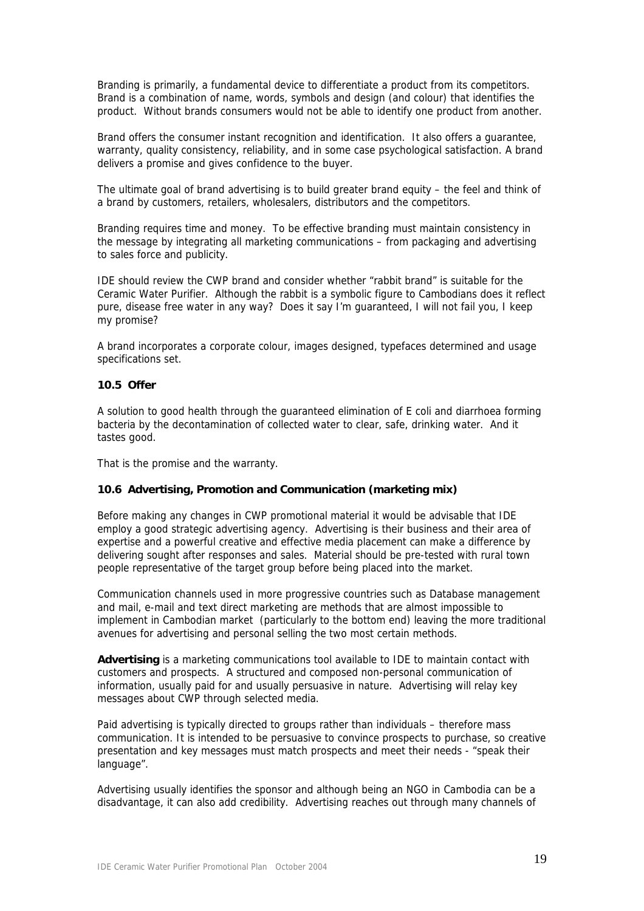Branding is primarily, a fundamental device to differentiate a product from its competitors. Brand is a combination of name, words, symbols and design (and colour) that identifies the product. Without brands consumers would not be able to identify one product from another.

Brand offers the consumer instant recognition and identification. It also offers a guarantee, warranty, quality consistency, reliability, and in some case psychological satisfaction. A brand delivers a promise and gives confidence to the buyer.

The ultimate goal of brand advertising is to build greater brand equity – the feel and think of a brand by customers, retailers, wholesalers, distributors and the competitors.

Branding requires time and money. To be effective branding must maintain consistency in the message by integrating all marketing communications – from packaging and advertising to sales force and publicity.

IDE should review the CWP brand and consider whether "rabbit brand" is suitable for the Ceramic Water Purifier. Although the rabbit is a symbolic figure to Cambodians does it reflect pure, disease free water in any way? Does it say I'm guaranteed, I will not fail you, I keep my promise?

A brand incorporates a corporate colour, images designed, typefaces determined and usage specifications set.

#### **10.5 Offer**

A solution to good health through the guaranteed elimination of E coli and diarrhoea forming bacteria by the decontamination of collected water to clear, safe, drinking water. And it tastes good.

That is the promise and the warranty.

#### **10.6 Advertising, Promotion and Communication (marketing mix)**

Before making any changes in CWP promotional material it would be advisable that IDE employ a good strategic advertising agency. Advertising is their business and their area of expertise and a powerful creative and effective media placement can make a difference by delivering sought after responses and sales. Material should be pre-tested with rural town people representative of the target group before being placed into the market.

Communication channels used in more progressive countries such as Database management and mail, e-mail and text direct marketing are methods that are almost impossible to implement in Cambodian market (particularly to the bottom end) leaving the more traditional avenues for advertising and personal selling the two most certain methods.

**Advertising** is a marketing communications tool available to IDE to maintain contact with customers and prospects. A structured and composed non-personal communication of information, usually paid for and usually persuasive in nature. Advertising will relay key messages about CWP through selected media.

Paid advertising is typically directed to groups rather than individuals – therefore mass communication. It is intended to be persuasive to convince prospects to purchase, so creative presentation and key messages must match prospects and meet their needs - "speak their language".

Advertising usually identifies the sponsor and although being an NGO in Cambodia can be a disadvantage, it can also add credibility. Advertising reaches out through many channels of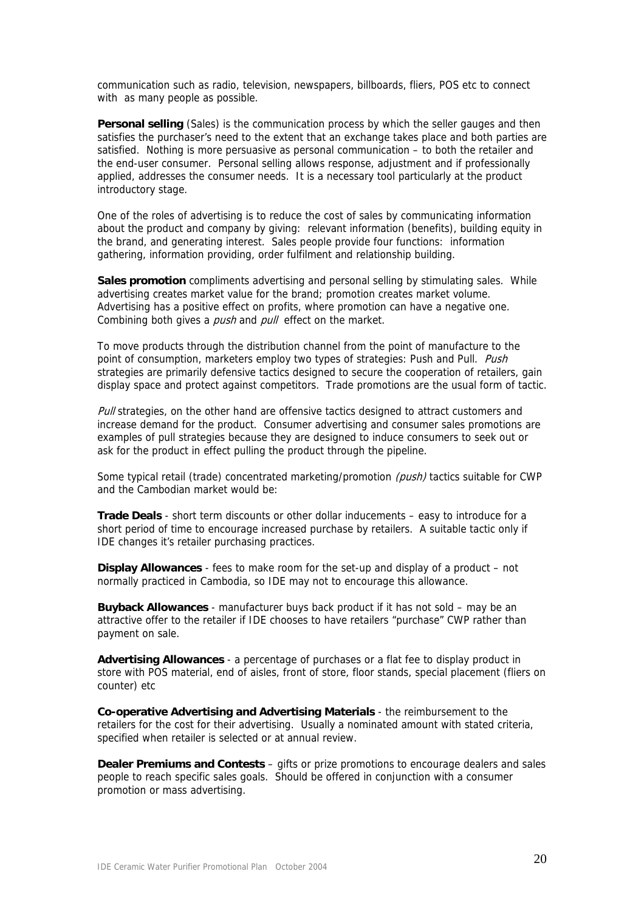communication such as radio, television, newspapers, billboards, fliers, POS etc to connect with as many people as possible.

**Personal selling** (Sales) is the communication process by which the seller gauges and then satisfies the purchaser's need to the extent that an exchange takes place and both parties are satisfied. Nothing is more persuasive as personal communication – to both the retailer and the end-user consumer. Personal selling allows response, adjustment and if professionally applied, addresses the consumer needs. It is a necessary tool particularly at the product introductory stage.

One of the roles of advertising is to reduce the cost of sales by communicating information about the product and company by giving: relevant information (benefits), building equity in the brand, and generating interest. Sales people provide four functions: information gathering, information providing, order fulfilment and relationship building.

**Sales promotion** compliments advertising and personal selling by stimulating sales. While advertising creates market value for the brand; promotion creates market volume. Advertising has a positive effect on profits, where promotion can have a negative one. Combining both gives a *push* and *pull* effect on the market.

To move products through the distribution channel from the point of manufacture to the point of consumption, marketers employ two types of strategies: Push and Pull. Push strategies are primarily defensive tactics designed to secure the cooperation of retailers, gain display space and protect against competitors. Trade promotions are the usual form of tactic.

Pull strategies, on the other hand are offensive tactics designed to attract customers and increase demand for the product. Consumer advertising and consumer sales promotions are examples of pull strategies because they are designed to induce consumers to seek out or ask for the product in effect pulling the product through the pipeline.

Some typical retail (trade) concentrated marketing/promotion *(push)* tactics suitable for CWP and the Cambodian market would be:

**Trade Deals** - short term discounts or other dollar inducements – easy to introduce for a short period of time to encourage increased purchase by retailers. A suitable tactic only if IDE changes it's retailer purchasing practices.

**Display Allowances** - fees to make room for the set-up and display of a product – not normally practiced in Cambodia, so IDE may not to encourage this allowance.

**Buyback Allowances** - manufacturer buys back product if it has not sold – may be an attractive offer to the retailer if IDE chooses to have retailers "purchase" CWP rather than payment on sale.

**Advertising Allowances** - a percentage of purchases or a flat fee to display product in store with POS material, end of aisles, front of store, floor stands, special placement (fliers on counter) etc

**Co-operative Advertising and Advertising Materials** - the reimbursement to the retailers for the cost for their advertising. Usually a nominated amount with stated criteria, specified when retailer is selected or at annual review.

**Dealer Premiums and Contests** – gifts or prize promotions to encourage dealers and sales people to reach specific sales goals. Should be offered in conjunction with a consumer promotion or mass advertising.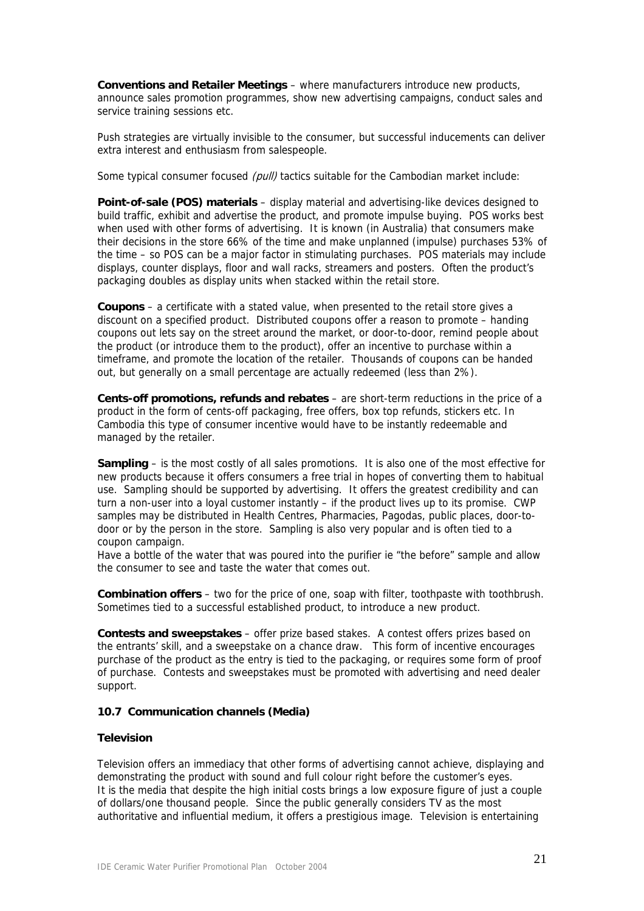**Conventions and Retailer Meetings** – where manufacturers introduce new products, announce sales promotion programmes, show new advertising campaigns, conduct sales and service training sessions etc.

Push strategies are virtually invisible to the consumer, but successful inducements can deliver extra interest and enthusiasm from salespeople.

Some typical consumer focused (pull) tactics suitable for the Cambodian market include:

**Point-of-sale (POS) materials** – display material and advertising-like devices designed to build traffic, exhibit and advertise the product, and promote impulse buying. POS works best when used with other forms of advertising. It is known (in Australia) that consumers make their decisions in the store 66% of the time and make unplanned (impulse) purchases 53% of the time – so POS can be a major factor in stimulating purchases. POS materials may include displays, counter displays, floor and wall racks, streamers and posters. Often the product's packaging doubles as display units when stacked within the retail store.

**Coupons** – a certificate with a stated value, when presented to the retail store gives a discount on a specified product. Distributed coupons offer a reason to promote – handing coupons out lets say on the street around the market, or door-to-door, remind people about the product (or introduce them to the product), offer an incentive to purchase within a timeframe, and promote the location of the retailer. Thousands of coupons can be handed out, but generally on a small percentage are actually redeemed (less than 2%).

**Cents-off promotions, refunds and rebates** – are short-term reductions in the price of a product in the form of cents-off packaging, free offers, box top refunds, stickers etc. In Cambodia this type of consumer incentive would have to be instantly redeemable and managed by the retailer.

**Sampling** – is the most costly of all sales promotions. It is also one of the most effective for new products because it offers consumers a free trial in hopes of converting them to habitual use. Sampling should be supported by advertising. It offers the greatest credibility and can turn a non-user into a loyal customer instantly – if the product lives up to its promise. CWP samples may be distributed in Health Centres, Pharmacies, Pagodas, public places, door-todoor or by the person in the store. Sampling is also very popular and is often tied to a coupon campaign.

Have a bottle of the water that was poured into the purifier ie "the before" sample and allow the consumer to see and taste the water that comes out.

**Combination offers** – two for the price of one, soap with filter, toothpaste with toothbrush. Sometimes tied to a successful established product, to introduce a new product.

**Contests and sweepstakes** – offer prize based stakes. A contest offers prizes based on the entrants' skill, and a sweepstake on a chance draw. This form of incentive encourages purchase of the product as the entry is tied to the packaging, or requires some form of proof of purchase. Contests and sweepstakes must be promoted with advertising and need dealer support.

## **10.7 Communication channels (Media)**

## **Television**

Television offers an immediacy that other forms of advertising cannot achieve, displaying and demonstrating the product with sound and full colour right before the customer's eyes. It is the media that despite the high initial costs brings a low exposure figure of just a couple of dollars/one thousand people. Since the public generally considers TV as the most authoritative and influential medium, it offers a prestigious image. Television is entertaining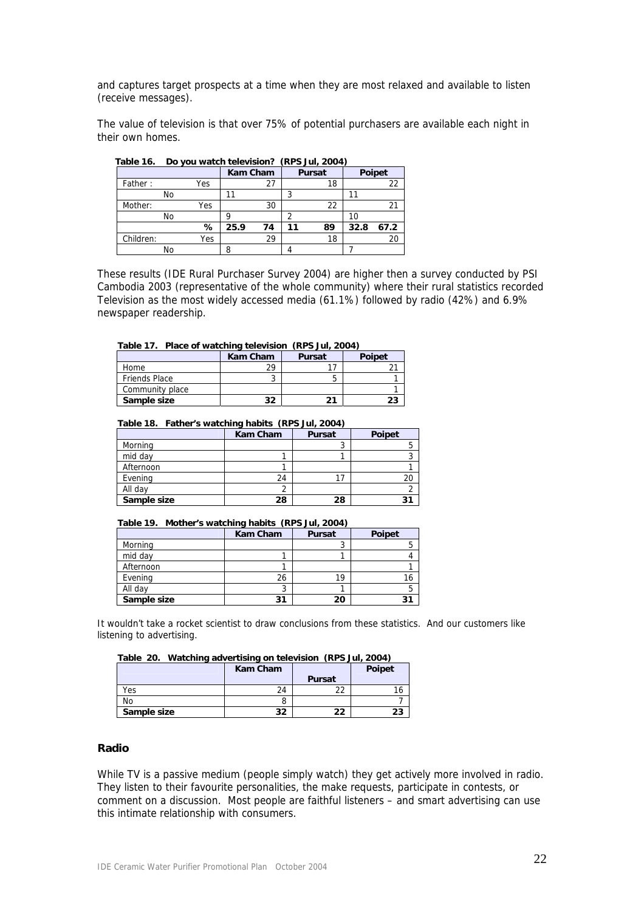and captures target prospects at a time when they are most relaxed and available to listen (receive messages).

The value of television is that over 75% of potential purchasers are available each night in their own homes.

| 1 GNIC 10. | <b>DU YOU WALCH ICIC VISION.</b> |     |                 |    | $(111 \cup 311, 2007)$ |               |      |        |
|------------|----------------------------------|-----|-----------------|----|------------------------|---------------|------|--------|
|            |                                  |     | <b>Kam Cham</b> |    |                        | <b>Pursat</b> |      | Poipet |
| Father:    |                                  | Yes |                 | 27 |                        | 18            |      | 22     |
|            | No                               |     |                 |    |                        |               |      |        |
| Mother:    |                                  | Yes |                 | 30 |                        | 22            |      |        |
|            | No                               |     |                 |    |                        |               |      |        |
|            |                                  | %   | 25.9            | 74 | 11                     | 89            | 32.8 | 67.2   |
| Children:  |                                  | Yes |                 | 29 |                        | 18            |      | 20     |
|            | No                               |     |                 |    |                        |               |      |        |

 **Table 16. Do you watch television? (RPS Jul, 2004)** 

These results (IDE Rural Purchaser Survey 2004) are higher then a survey conducted by PSI Cambodia 2003 (representative of the whole community) where their rural statistics recorded Television as the most widely accessed media (61.1%) followed by radio (42%) and 6.9% newspaper readership.

#### **Table 17. Place of watching television (RPS Jul, 2004)**

|                      | <b>Kam Cham</b> | <b>Pursat</b> | <b>Poipet</b> |
|----------------------|-----------------|---------------|---------------|
| Home                 | 29              |               |               |
| <b>Friends Place</b> |                 |               |               |
| Community place      |                 |               |               |
| Sample size          | つつ              |               |               |

#### **Table 18. Father's watching habits (RPS Jul, 2004)**

|             | <b>Kam Cham</b> | <b>Pursat</b> | <b>Poipet</b> |
|-------------|-----------------|---------------|---------------|
| Morning     |                 |               |               |
| mid day     |                 |               |               |
| Afternoon   |                 |               |               |
| Evening     | 24              |               |               |
| All day     |                 |               |               |
| Sample size | 28              | 28            |               |

#### **Table 19. Mother's watching habits (RPS Jul, 2004)**

|             | <b>Kam Cham</b> | <b>Pursat</b> | <b>Poipet</b> |
|-------------|-----------------|---------------|---------------|
| Morning     |                 |               |               |
| mid day     |                 |               |               |
| Afternoon   |                 |               |               |
| Evening     | 26              | 19            | 16            |
| All day     |                 |               |               |
| Sample size |                 | 20            |               |

It wouldn't take a rocket scientist to draw conclusions from these statistics. And our customers like listening to advertising.

|  | Table 20. Watching advertising on television (RPS Jul, 2004) |        |
|--|--------------------------------------------------------------|--------|
|  | Kam Cham                                                     | Poipet |

|             | Kam Cham |               | Polpet |
|-------------|----------|---------------|--------|
|             |          | <b>Pursat</b> |        |
| Yes         | 24       | $\Omega$      |        |
| No          |          |               |        |
| Sample size | 32       | າາ            |        |

#### **Radio**

While TV is a passive medium (people simply watch) they get actively more involved in radio. They listen to their favourite personalities, the make requests, participate in contests, or comment on a discussion. Most people are faithful listeners – and smart advertising can use this intimate relationship with consumers.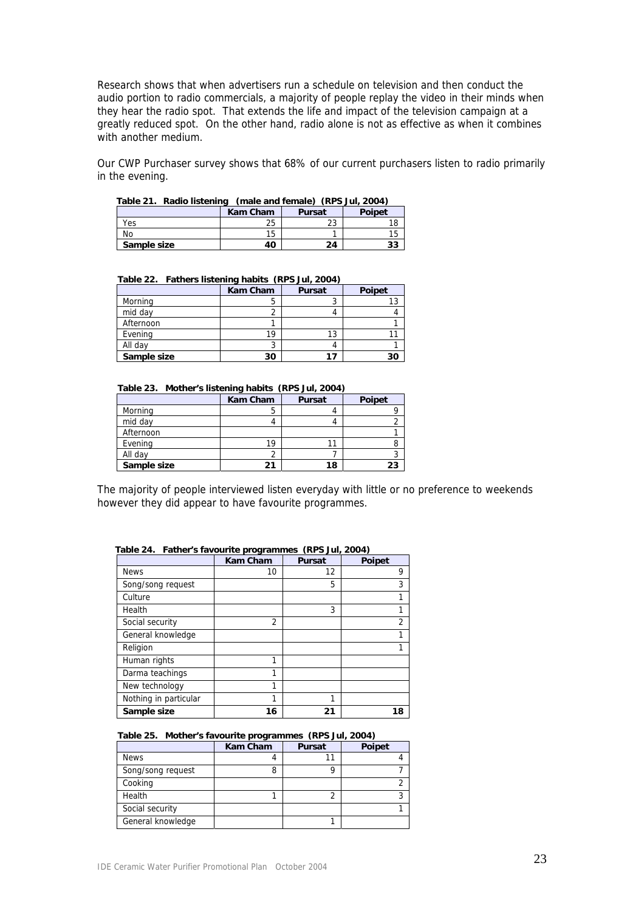Research shows that when advertisers run a schedule on television and then conduct the audio portion to radio commercials, a majority of people replay the video in their minds when they hear the radio spot. That extends the life and impact of the television campaign at a greatly reduced spot. On the other hand, radio alone is not as effective as when it combines with another medium.

Our CWP Purchaser survey shows that 68% of our current purchasers listen to radio primarily in the evening.

| $\mu$ abie 21. Raulo IIsteriilu<br>$\mu$ (indic and remare) (KF3 Jul, 2004) |                 |               |               |  |  |  |
|-----------------------------------------------------------------------------|-----------------|---------------|---------------|--|--|--|
|                                                                             | <b>Kam Cham</b> | <b>Pursat</b> | <b>Poipet</b> |  |  |  |
| Yes                                                                         | 25              | າາ<br>دے      |               |  |  |  |
| N٥                                                                          | 15              |               |               |  |  |  |
| Sample size                                                                 | 40              | 24            | 33            |  |  |  |

|  | Table 21. Radio listening (male and female) (RPS Jul, 2004) |  |  |  |
|--|-------------------------------------------------------------|--|--|--|
|  |                                                             |  |  |  |

| Table 22. Fathers insterming Habits (RFS Jul, 2004) |                 |               |               |  |  |
|-----------------------------------------------------|-----------------|---------------|---------------|--|--|
|                                                     | <b>Kam Cham</b> | <b>Pursat</b> | <b>Poipet</b> |  |  |
| Morning                                             |                 |               |               |  |  |
| mid day                                             |                 |               |               |  |  |
| Afternoon                                           |                 |               |               |  |  |
| Evening                                             | 19              | 13            |               |  |  |
| All day                                             |                 |               |               |  |  |
| Sample size                                         | 30              |               | 30            |  |  |

#### **Table 22. Fathers listening habits (RPS Jul, 2004)**

 **Table 23. Mother's listening habits (RPS Jul, 2004)** 

|             | <b>Kam Cham</b> | <b>Pursat</b> | <b>Poipet</b> |
|-------------|-----------------|---------------|---------------|
| Morning     | 5               |               |               |
| mid day     |                 |               |               |
| Afternoon   |                 |               |               |
| Evening     | 19              |               |               |
| All day     |                 |               |               |
| Sample size | 21              | 18            | 23            |

The majority of people interviewed listen everyday with little or no preference to weekends however they did appear to have favourite programmes.

|                       | <b>Kam Cham</b> | <b>Pursat</b> | <b>Poipet</b> |
|-----------------------|-----------------|---------------|---------------|
| <b>News</b>           | 10              | 12            | 9             |
| Song/song request     |                 | 5             | 3             |
| Culture               |                 |               | 1             |
| Health                |                 | 3             |               |
| Social security       | 2               |               | 2             |
| General knowledge     |                 |               | 1             |
| Religion              |                 |               |               |
| Human rights          | 1               |               |               |
| Darma teachings       | 1               |               |               |
| New technology        | 1               |               |               |
| Nothing in particular | 1               | 1             |               |
| Sample size           | 16              | 21            | 18            |

#### **Table 24. Father's favourite programmes (RPS Jul, 2004)**

#### **Table 25. Mother's favourite programmes (RPS Jul, 2004)**

|                   | <b>Kam Cham</b> | <b>Pursat</b> | Poipet |
|-------------------|-----------------|---------------|--------|
| <b>News</b>       |                 |               |        |
| Song/song request | 8               |               |        |
| Cooking           |                 |               |        |
| Health            |                 |               |        |
| Social security   |                 |               |        |
| General knowledge |                 |               |        |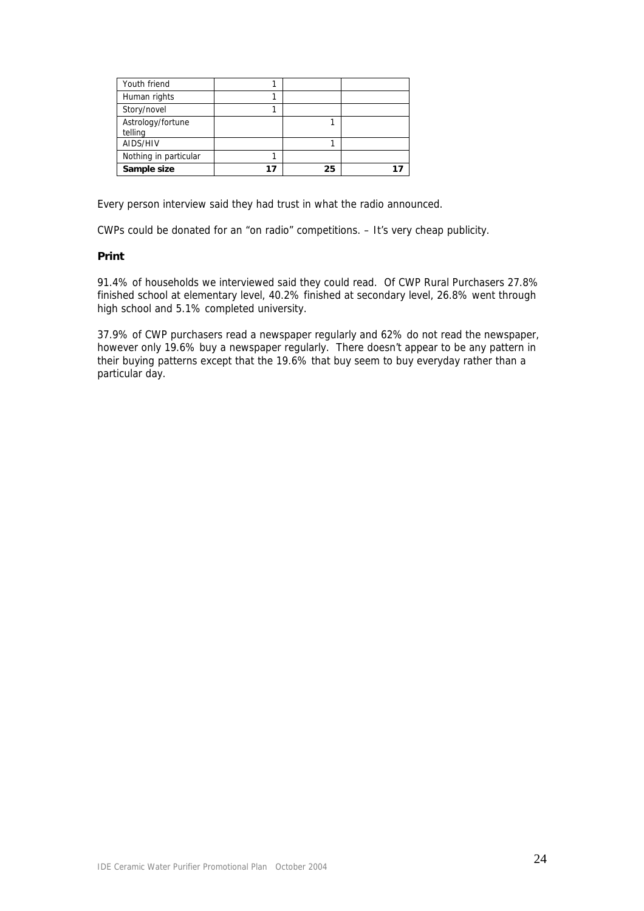| Youth friend                 |    |  |
|------------------------------|----|--|
| Human rights                 |    |  |
| Story/novel                  |    |  |
| Astrology/fortune<br>telling |    |  |
| AIDS/HIV                     |    |  |
| Nothing in particular        |    |  |
| Sample size                  | 25 |  |

Every person interview said they had trust in what the radio announced.

CWPs could be donated for an "on radio" competitions. – It's very cheap publicity.

## **Print**

91.4% of households we interviewed said they could read. Of CWP Rural Purchasers 27.8% finished school at elementary level, 40.2% finished at secondary level, 26.8% went through high school and 5.1% completed university.

37.9% of CWP purchasers read a newspaper regularly and 62% do not read the newspaper, however only 19.6% buy a newspaper regularly. There doesn't appear to be any pattern in their buying patterns except that the 19.6% that buy seem to buy everyday rather than a particular day.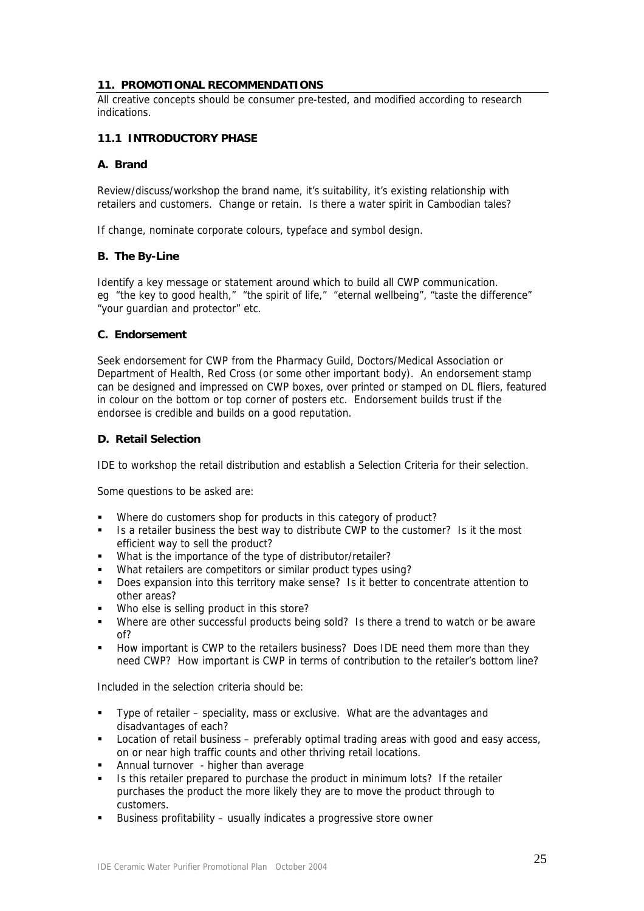## **11. PROMOTIONAL RECOMMENDATIONS**

All creative concepts should be consumer pre-tested, and modified according to research indications.

# **11.1 INTRODUCTORY PHASE**

## **A. Brand**

Review/discuss/workshop the brand name, it's suitability, it's existing relationship with retailers and customers. Change or retain. Is there a water spirit in Cambodian tales?

If change, nominate corporate colours, typeface and symbol design.

#### **B. The By-Line**

Identify a key message or statement around which to build all CWP communication. eg "the key to good health," "the spirit of life," "eternal wellbeing", "taste the difference" "your guardian and protector" etc.

## **C. Endorsement**

Seek endorsement for CWP from the Pharmacy Guild, Doctors/Medical Association or Department of Health, Red Cross (or some other important body). An endorsement stamp can be designed and impressed on CWP boxes, over printed or stamped on DL fliers, featured in colour on the bottom or top corner of posters etc. Endorsement builds trust if the endorsee is credible and builds on a good reputation.

## **D. Retail Selection**

IDE to workshop the retail distribution and establish a Selection Criteria for their selection.

Some questions to be asked are:

- Where do customers shop for products in this category of product?
- Is a retailer business the best way to distribute CWP to the customer? Is it the most efficient way to sell the product?
- What is the importance of the type of distributor/retailer?
- What retailers are competitors or similar product types using?
- Does expansion into this territory make sense? Is it better to concentrate attention to other areas?
- Who else is selling product in this store?
- Where are other successful products being sold? Is there a trend to watch or be aware of?
- How important is CWP to the retailers business? Does IDE need them more than they need CWP? How important is CWP in terms of contribution to the retailer's bottom line?

Included in the selection criteria should be:

- Type of retailer speciality, mass or exclusive. What are the advantages and disadvantages of each?
- **Location of retail business preferably optimal trading areas with good and easy access,** on or near high traffic counts and other thriving retail locations.
- Annual turnover higher than average
- Is this retailer prepared to purchase the product in minimum lots? If the retailer purchases the product the more likely they are to move the product through to customers.
- Business profitability usually indicates a progressive store owner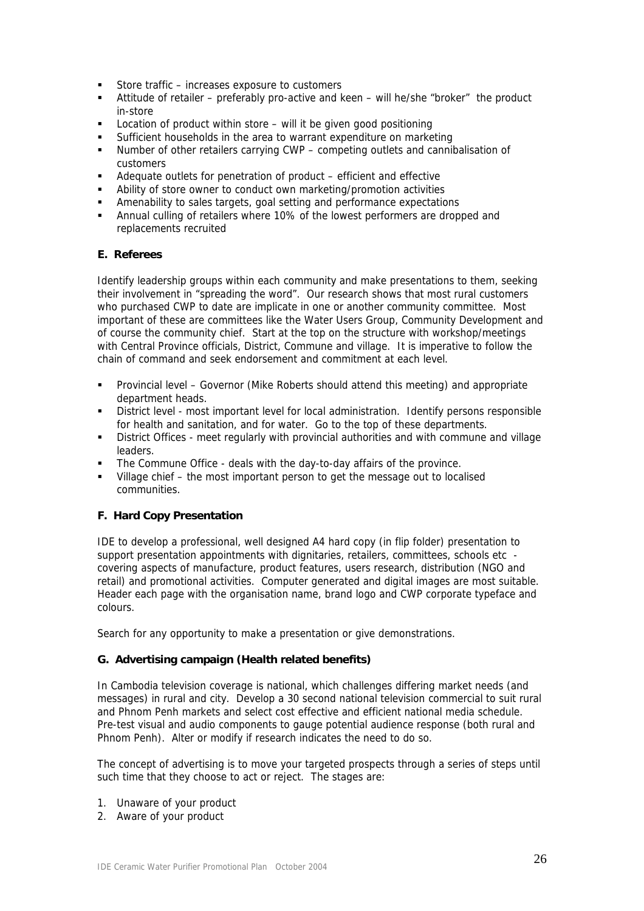- Store traffic increases exposure to customers
- Attitude of retailer preferably pro-active and keen will he/she "broker" the product in-store
- Location of product within store will it be given good positioning
- Sufficient households in the area to warrant expenditure on marketing
- Number of other retailers carrying CWP competing outlets and cannibalisation of customers
- Adequate outlets for penetration of product efficient and effective
- Ability of store owner to conduct own marketing/promotion activities
- Amenability to sales targets, goal setting and performance expectations
- Annual culling of retailers where 10% of the lowest performers are dropped and replacements recruited

## **E. Referees**

Identify leadership groups within each community and make presentations to them, seeking their involvement in "spreading the word". Our research shows that most rural customers who purchased CWP to date are implicate in one or another community committee. Most important of these are committees like the Water Users Group, Community Development and of course the community chief. Start at the top on the structure with workshop/meetings with Central Province officials, District, Commune and village. It is imperative to follow the chain of command and seek endorsement and commitment at each level.

- Provincial level Governor (Mike Roberts should attend this meeting) and appropriate department heads.
- District level most important level for local administration. Identify persons responsible for health and sanitation, and for water. Go to the top of these departments.
- District Offices meet regularly with provincial authorities and with commune and village leaders.
- The Commune Office deals with the day-to-day affairs of the province.
- Village chief the most important person to get the message out to localised communities.

## **F. Hard Copy Presentation**

IDE to develop a professional, well designed A4 hard copy (in flip folder) presentation to support presentation appointments with dignitaries, retailers, committees, schools etc covering aspects of manufacture, product features, users research, distribution (NGO and retail) and promotional activities. Computer generated and digital images are most suitable. Header each page with the organisation name, brand logo and CWP corporate typeface and colours.

Search for any opportunity to make a presentation or give demonstrations.

#### **G. Advertising campaign (Health related benefits)**

In Cambodia television coverage is national, which challenges differing market needs (and messages) in rural and city. Develop a 30 second national television commercial to suit rural and Phnom Penh markets and select cost effective and efficient national media schedule. Pre-test visual and audio components to gauge potential audience response (both rural and Phnom Penh). Alter or modify if research indicates the need to do so.

The concept of advertising is to move your targeted prospects through a series of steps until such time that they choose to act or reject. The stages are:

- 1. Unaware of your product
- 2. Aware of your product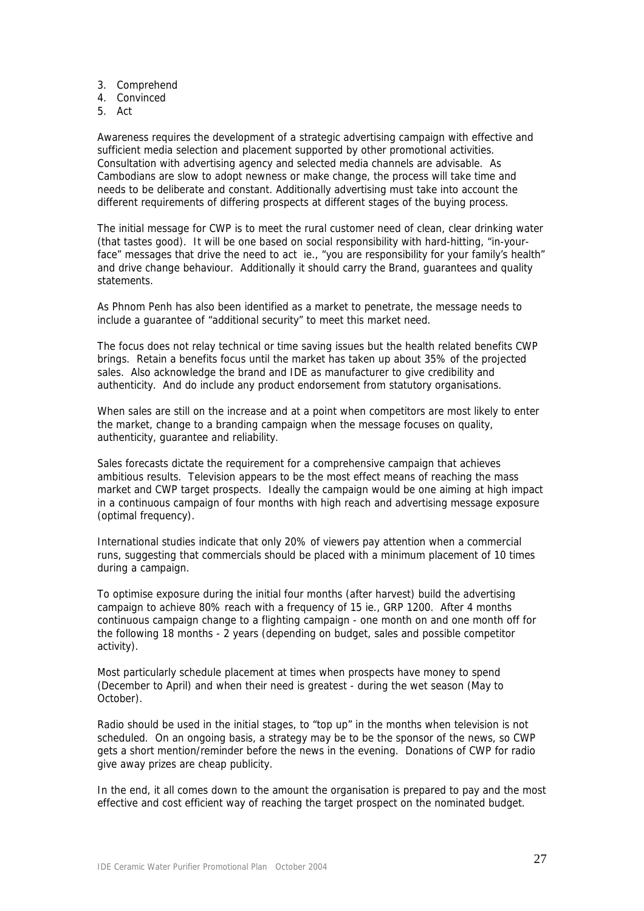- 3. Comprehend
- 4. Convinced
- 5. Act

Awareness requires the development of a strategic advertising campaign with effective and sufficient media selection and placement supported by other promotional activities. Consultation with advertising agency and selected media channels are advisable. As Cambodians are slow to adopt newness or make change, the process will take time and needs to be deliberate and constant. Additionally advertising must take into account the different requirements of differing prospects at different stages of the buying process.

The initial message for CWP is to meet the rural customer need of clean, clear drinking water (that tastes good). It will be one based on social responsibility with hard-hitting, "in-yourface" messages that drive the need to act ie., "you are responsibility for your family's health" and drive change behaviour. Additionally it should carry the Brand, guarantees and quality statements.

As Phnom Penh has also been identified as a market to penetrate, the message needs to include a guarantee of "additional security" to meet this market need.

The focus does not relay technical or time saving issues but the health related benefits CWP brings. Retain a benefits focus until the market has taken up about 35% of the projected sales. Also acknowledge the brand and IDE as manufacturer to give credibility and authenticity. And do include any product endorsement from statutory organisations.

When sales are still on the increase and at a point when competitors are most likely to enter the market, change to a branding campaign when the message focuses on quality, authenticity, guarantee and reliability.

Sales forecasts dictate the requirement for a comprehensive campaign that achieves ambitious results. Television appears to be the most effect means of reaching the mass market and CWP target prospects. Ideally the campaign would be one aiming at high impact in a continuous campaign of four months with high reach and advertising message exposure (optimal frequency).

International studies indicate that only 20% of viewers pay attention when a commercial runs, suggesting that commercials should be placed with a minimum placement of 10 times during a campaign.

To optimise exposure during the initial four months (after harvest) build the advertising campaign to achieve 80% reach with a frequency of 15 ie., GRP 1200. After 4 months continuous campaign change to a flighting campaign - one month on and one month off for the following 18 months - 2 years (depending on budget, sales and possible competitor activity).

Most particularly schedule placement at times when prospects have money to spend (December to April) and when their need is greatest - during the wet season (May to October).

Radio should be used in the initial stages, to "top up" in the months when television is not scheduled. On an ongoing basis, a strategy may be to be the sponsor of the news, so CWP gets a short mention/reminder before the news in the evening. Donations of CWP for radio give away prizes are cheap publicity.

In the end, it all comes down to the amount the organisation is prepared to pay and the most effective and cost efficient way of reaching the target prospect on the nominated budget.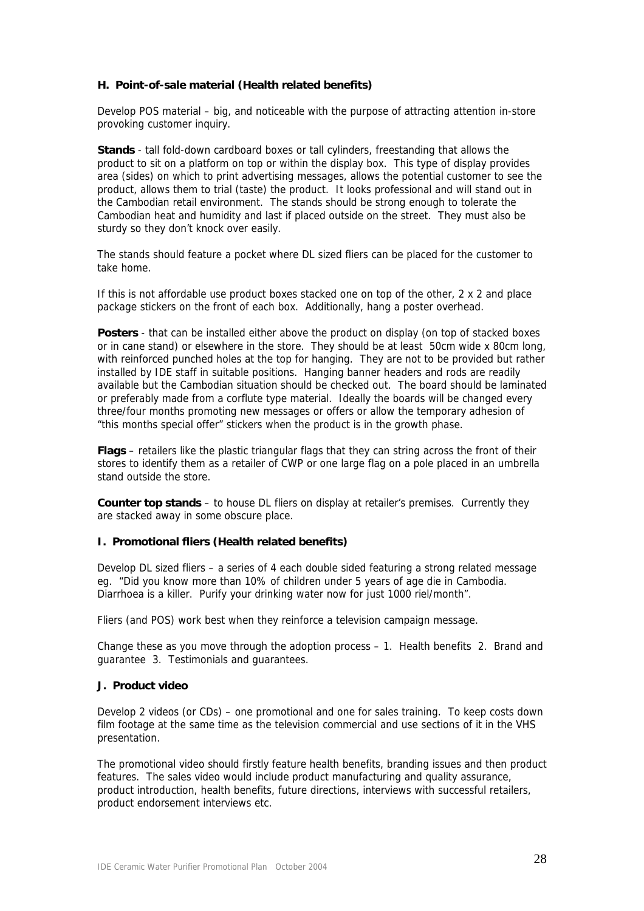## **H. Point-of-sale material (Health related benefits)**

Develop POS material – big, and noticeable with the purpose of attracting attention in-store provoking customer inquiry.

**Stands** - tall fold-down cardboard boxes or tall cylinders, freestanding that allows the product to sit on a platform on top or within the display box. This type of display provides area (sides) on which to print advertising messages, allows the potential customer to see the product, allows them to trial (taste) the product. It looks professional and will stand out in the Cambodian retail environment. The stands should be strong enough to tolerate the Cambodian heat and humidity and last if placed outside on the street. They must also be sturdy so they don't knock over easily.

The stands should feature a pocket where DL sized fliers can be placed for the customer to take home.

If this is not affordable use product boxes stacked one on top of the other, 2 x 2 and place package stickers on the front of each box. Additionally, hang a poster overhead.

Posters - that can be installed either above the product on display (on top of stacked boxes or in cane stand) or elsewhere in the store. They should be at least 50cm wide x 80cm long, with reinforced punched holes at the top for hanging. They are not to be provided but rather installed by IDE staff in suitable positions. Hanging banner headers and rods are readily available but the Cambodian situation should be checked out. The board should be laminated or preferably made from a corflute type material. Ideally the boards will be changed every three/four months promoting new messages or offers or allow the temporary adhesion of "this months special offer" stickers when the product is in the growth phase.

**Flags** – retailers like the plastic triangular flags that they can string across the front of their stores to identify them as a retailer of CWP or one large flag on a pole placed in an umbrella stand outside the store.

**Counter top stands** – to house DL fliers on display at retailer's premises. Currently they are stacked away in some obscure place.

## **I. Promotional fliers (Health related benefits)**

Develop DL sized fliers – a series of 4 each double sided featuring a strong related message eg. "Did you know more than 10% of children under 5 years of age die in Cambodia. Diarrhoea is a killer. Purify your drinking water now for just 1000 riel/month".

Fliers (and POS) work best when they reinforce a television campaign message.

Change these as you move through the adoption process – 1. Health benefits 2. Brand and guarantee 3. Testimonials and guarantees.

#### **J. Product video**

Develop 2 videos (or CDs) – one promotional and one for sales training. To keep costs down film footage at the same time as the television commercial and use sections of it in the VHS presentation.

The promotional video should firstly feature health benefits, branding issues and then product features. The sales video would include product manufacturing and quality assurance, product introduction, health benefits, future directions, interviews with successful retailers, product endorsement interviews etc.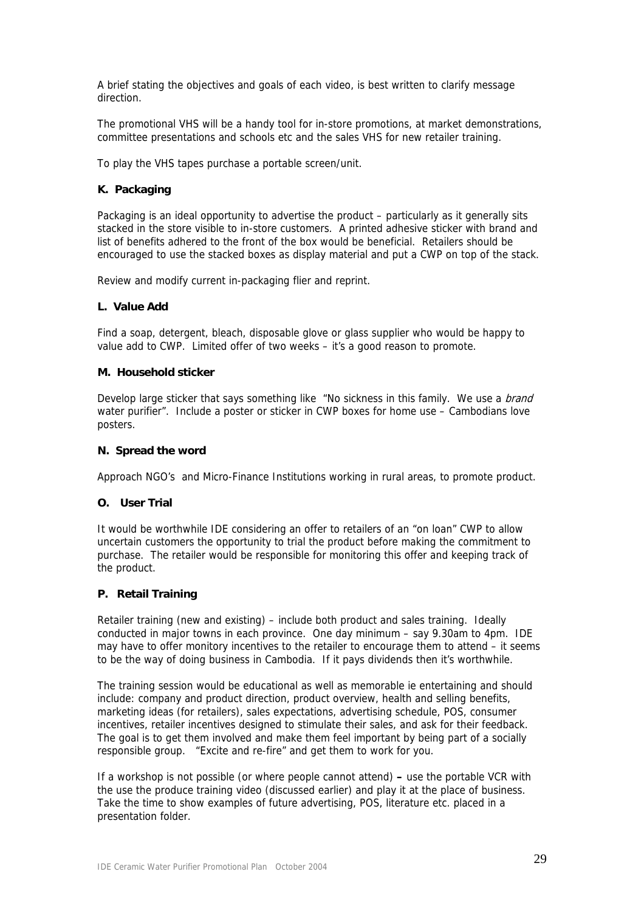A brief stating the objectives and goals of each video, is best written to clarify message direction.

The promotional VHS will be a handy tool for in-store promotions, at market demonstrations, committee presentations and schools etc and the sales VHS for new retailer training.

To play the VHS tapes purchase a portable screen/unit.

## **K. Packaging**

Packaging is an ideal opportunity to advertise the product – particularly as it generally sits stacked in the store visible to in-store customers. A printed adhesive sticker with brand and list of benefits adhered to the front of the box would be beneficial. Retailers should be encouraged to use the stacked boxes as display material and put a CWP on top of the stack.

Review and modify current in-packaging flier and reprint.

## **L. Value Add**

Find a soap, detergent, bleach, disposable glove or glass supplier who would be happy to value add to CWP. Limited offer of two weeks – it's a good reason to promote.

## **M. Household sticker**

Develop large sticker that says something like "No sickness in this family. We use a *brand* water purifier". Include a poster or sticker in CWP boxes for home use – Cambodians love posters.

## **N. Spread the word**

Approach NGO's and Micro-Finance Institutions working in rural areas, to promote product.

## **O. User Trial**

It would be worthwhile IDE considering an offer to retailers of an "on loan" CWP to allow uncertain customers the opportunity to trial the product before making the commitment to purchase. The retailer would be responsible for monitoring this offer and keeping track of the product.

## **P. Retail Training**

Retailer training (new and existing) – include both product and sales training. Ideally conducted in major towns in each province. One day minimum – say 9.30am to 4pm. IDE may have to offer monitory incentives to the retailer to encourage them to attend – it seems to be the way of doing business in Cambodia. If it pays dividends then it's worthwhile.

The training session would be educational as well as memorable ie entertaining and should include: company and product direction, product overview, health and selling benefits, marketing ideas (for retailers), sales expectations, advertising schedule, POS, consumer incentives, retailer incentives designed to stimulate their sales, and ask for their feedback. The goal is to get them involved and make them feel important by being part of a socially responsible group. "Excite and re-fire" and get them to work for you.

If a workshop is not possible (or where people cannot attend) **–** use the portable VCR with the use the produce training video (discussed earlier) and play it at the place of business. Take the time to show examples of future advertising, POS, literature etc. placed in a presentation folder.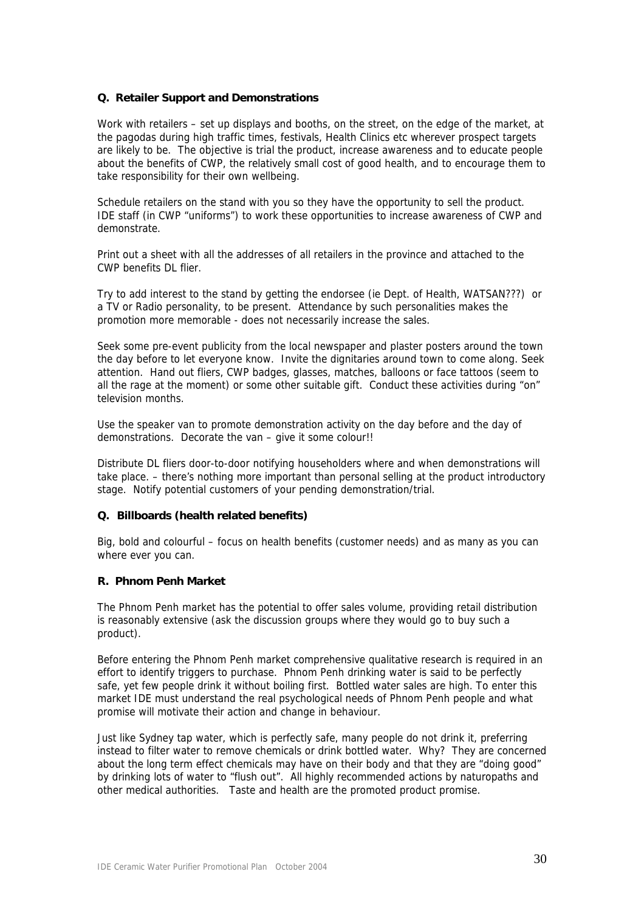## **Q. Retailer Support and Demonstrations**

Work with retailers – set up displays and booths, on the street, on the edge of the market, at the pagodas during high traffic times, festivals, Health Clinics etc wherever prospect targets are likely to be. The objective is trial the product, increase awareness and to educate people about the benefits of CWP, the relatively small cost of good health, and to encourage them to take responsibility for their own wellbeing.

Schedule retailers on the stand with you so they have the opportunity to sell the product. IDE staff (in CWP "uniforms") to work these opportunities to increase awareness of CWP and demonstrate.

Print out a sheet with all the addresses of all retailers in the province and attached to the CWP benefits DL flier.

Try to add interest to the stand by getting the endorsee (ie Dept. of Health, WATSAN???) or a TV or Radio personality, to be present. Attendance by such personalities makes the promotion more memorable - does not necessarily increase the sales.

Seek some pre-event publicity from the local newspaper and plaster posters around the town the day before to let everyone know. Invite the dignitaries around town to come along. Seek attention. Hand out fliers, CWP badges, glasses, matches, balloons or face tattoos (seem to all the rage at the moment) or some other suitable gift. Conduct these activities during "on" television months.

Use the speaker van to promote demonstration activity on the day before and the day of demonstrations. Decorate the van – give it some colour!!

Distribute DL fliers door-to-door notifying householders where and when demonstrations will take place. – there's nothing more important than personal selling at the product introductory stage. Notify potential customers of your pending demonstration/trial.

#### **Q. Billboards (health related benefits)**

Big, bold and colourful – focus on health benefits (customer needs) and as many as you can where ever you can.

## **R. Phnom Penh Market**

The Phnom Penh market has the potential to offer sales volume, providing retail distribution is reasonably extensive (ask the discussion groups where they would go to buy such a product).

Before entering the Phnom Penh market comprehensive qualitative research is required in an effort to identify triggers to purchase. Phnom Penh drinking water is said to be perfectly safe, yet few people drink it without boiling first. Bottled water sales are high. To enter this market IDE must understand the real psychological needs of Phnom Penh people and what promise will motivate their action and change in behaviour.

Just like Sydney tap water, which is perfectly safe, many people do not drink it, preferring instead to filter water to remove chemicals or drink bottled water. Why? They are concerned about the long term effect chemicals may have on their body and that they are "doing good" by drinking lots of water to "flush out". All highly recommended actions by naturopaths and other medical authorities. Taste and health are the promoted product promise.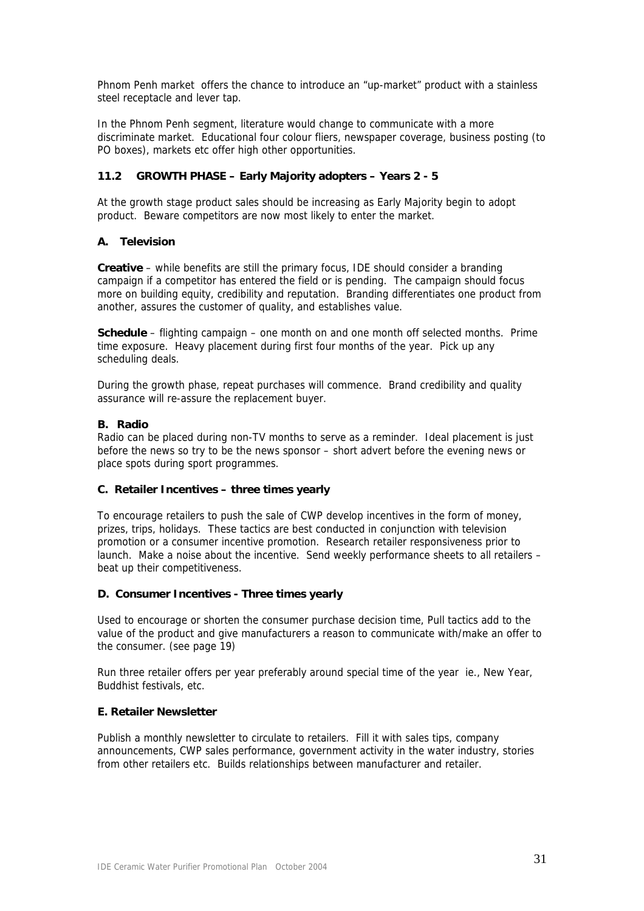Phnom Penh market offers the chance to introduce an "up-market" product with a stainless steel receptacle and lever tap.

In the Phnom Penh segment, literature would change to communicate with a more discriminate market. Educational four colour fliers, newspaper coverage, business posting (to PO boxes), markets etc offer high other opportunities.

# **11.2 GROWTH PHASE – Early Majority adopters – Years 2 - 5**

At the growth stage product sales should be increasing as Early Majority begin to adopt product. Beware competitors are now most likely to enter the market.

## **A. Television**

**Creative** – while benefits are still the primary focus, IDE should consider a branding campaign if a competitor has entered the field or is pending. The campaign should focus more on building equity, credibility and reputation. Branding differentiates one product from another, assures the customer of quality, and establishes value.

**Schedule** – flighting campaign – one month on and one month off selected months. Prime time exposure. Heavy placement during first four months of the year. Pick up any scheduling deals.

During the growth phase, repeat purchases will commence. Brand credibility and quality assurance will re-assure the replacement buyer.

## **B. Radio**

Radio can be placed during non-TV months to serve as a reminder. Ideal placement is just before the news so try to be the news sponsor – short advert before the evening news or place spots during sport programmes.

## **C. Retailer Incentives – three times yearly**

To encourage retailers to push the sale of CWP develop incentives in the form of money, prizes, trips, holidays. These tactics are best conducted in conjunction with television promotion or a consumer incentive promotion. Research retailer responsiveness prior to launch. Make a noise about the incentive. Send weekly performance sheets to all retailers – beat up their competitiveness.

## **D. Consumer Incentives - Three times yearly**

Used to encourage or shorten the consumer purchase decision time, Pull tactics add to the value of the product and give manufacturers a reason to communicate with/make an offer to the consumer. (see page 19)

Run three retailer offers per year preferably around special time of the year ie., New Year, Buddhist festivals, etc.

## **E. Retailer Newsletter**

Publish a monthly newsletter to circulate to retailers. Fill it with sales tips, company announcements, CWP sales performance, government activity in the water industry, stories from other retailers etc. Builds relationships between manufacturer and retailer.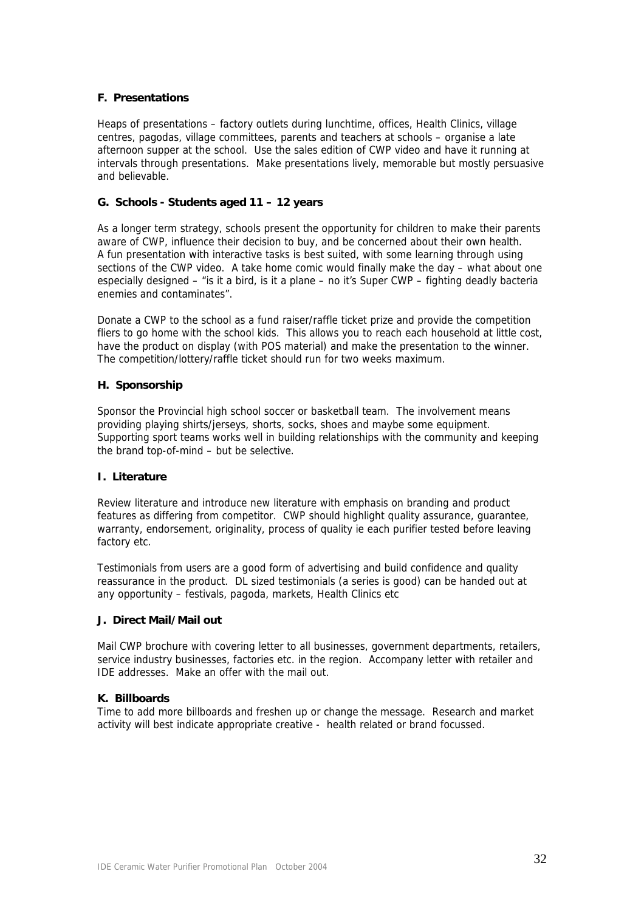## **F. Presentations**

Heaps of presentations – factory outlets during lunchtime, offices, Health Clinics, village centres, pagodas, village committees, parents and teachers at schools – organise a late afternoon supper at the school. Use the sales edition of CWP video and have it running at intervals through presentations. Make presentations lively, memorable but mostly persuasive and believable.

## **G. Schools - Students aged 11 – 12 years**

As a longer term strategy, schools present the opportunity for children to make their parents aware of CWP, influence their decision to buy, and be concerned about their own health. A fun presentation with interactive tasks is best suited, with some learning through using sections of the CWP video. A take home comic would finally make the day – what about one especially designed – "is it a bird, is it a plane – no it's Super CWP – fighting deadly bacteria enemies and contaminates".

Donate a CWP to the school as a fund raiser/raffle ticket prize and provide the competition fliers to go home with the school kids. This allows you to reach each household at little cost, have the product on display (with POS material) and make the presentation to the winner. The competition/lottery/raffle ticket should run for two weeks maximum.

## **H. Sponsorship**

Sponsor the Provincial high school soccer or basketball team. The involvement means providing playing shirts/jerseys, shorts, socks, shoes and maybe some equipment. Supporting sport teams works well in building relationships with the community and keeping the brand top-of-mind – but be selective.

## **I. Literature**

Review literature and introduce new literature with emphasis on branding and product features as differing from competitor. CWP should highlight quality assurance, guarantee, warranty, endorsement, originality, process of quality ie each purifier tested before leaving factory etc.

Testimonials from users are a good form of advertising and build confidence and quality reassurance in the product. DL sized testimonials (a series is good) can be handed out at any opportunity – festivals, pagoda, markets, Health Clinics etc

## **J. Direct Mail/Mail out**

Mail CWP brochure with covering letter to all businesses, government departments, retailers, service industry businesses, factories etc. in the region. Accompany letter with retailer and IDE addresses. Make an offer with the mail out.

## **K. Billboards**

Time to add more billboards and freshen up or change the message. Research and market activity will best indicate appropriate creative - health related or brand focussed.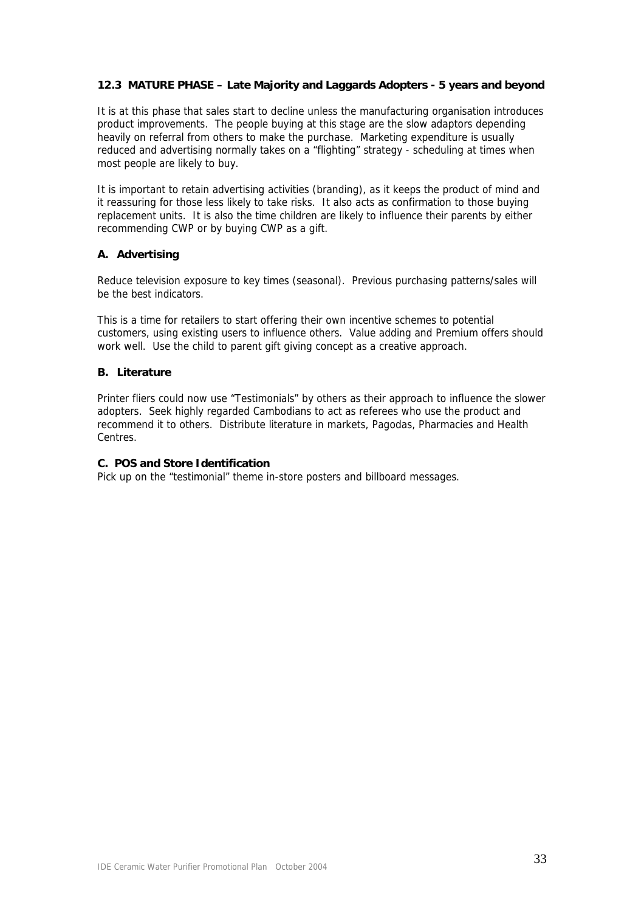## **12.3 MATURE PHASE – Late Majority and Laggards Adopters - 5 years and beyond**

It is at this phase that sales start to decline unless the manufacturing organisation introduces product improvements. The people buying at this stage are the slow adaptors depending heavily on referral from others to make the purchase. Marketing expenditure is usually reduced and advertising normally takes on a "flighting" strategy - scheduling at times when most people are likely to buy.

It is important to retain advertising activities (branding), as it keeps the product of mind and it reassuring for those less likely to take risks. It also acts as confirmation to those buying replacement units. It is also the time children are likely to influence their parents by either recommending CWP or by buying CWP as a gift.

## **A. Advertising**

Reduce television exposure to key times (seasonal). Previous purchasing patterns/sales will be the best indicators.

This is a time for retailers to start offering their own incentive schemes to potential customers, using existing users to influence others. Value adding and Premium offers should work well. Use the child to parent gift giving concept as a creative approach.

## **B. Literature**

Printer fliers could now use "Testimonials" by others as their approach to influence the slower adopters. Seek highly regarded Cambodians to act as referees who use the product and recommend it to others. Distribute literature in markets, Pagodas, Pharmacies and Health Centres.

#### **C. POS and Store Identification**

Pick up on the "testimonial" theme in-store posters and billboard messages.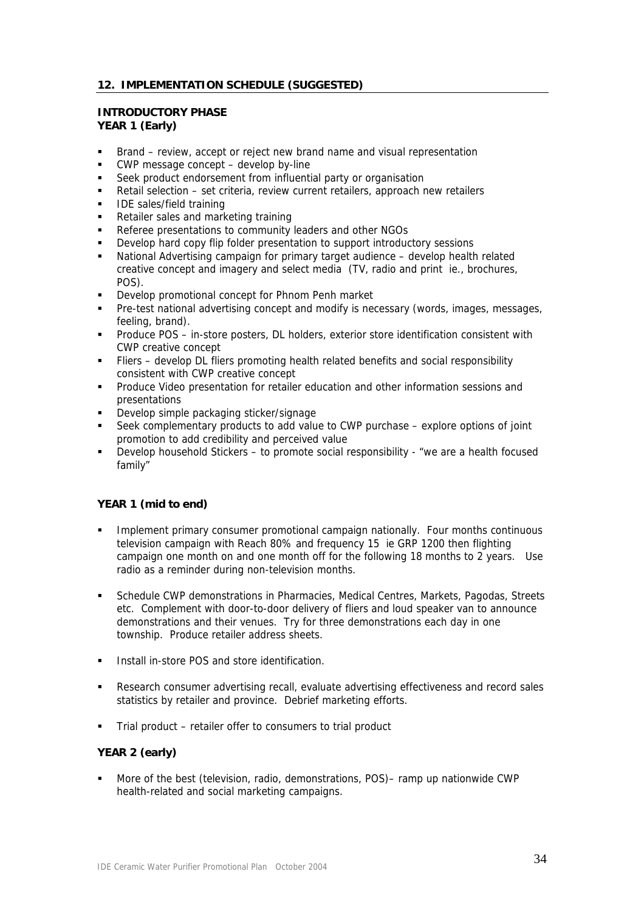# **12. IMPLEMENTATION SCHEDULE (SUGGESTED)**

#### **INTRODUCTORY PHASE YEAR 1 (Early)**

- Brand review, accept or reject new brand name and visual representation
- CWP message concept develop by-line
- Seek product endorsement from influential party or organisation
- Retail selection set criteria, review current retailers, approach new retailers
- IDE sales/field training
- Retailer sales and marketing training
- **Referee presentations to community leaders and other NGOs**
- Develop hard copy flip folder presentation to support introductory sessions
- National Advertising campaign for primary target audience develop health related creative concept and imagery and select media (TV, radio and print ie., brochures, POS).
- Develop promotional concept for Phnom Penh market
- Pre-test national advertising concept and modify is necessary (words, images, messages, feeling, brand).
- Produce POS in-store posters, DL holders, exterior store identification consistent with CWP creative concept
- Fliers develop DL fliers promoting health related benefits and social responsibility consistent with CWP creative concept
- Produce Video presentation for retailer education and other information sessions and presentations
- Develop simple packaging sticker/signage
- Seek complementary products to add value to CWP purchase explore options of joint promotion to add credibility and perceived value
- Develop household Stickers to promote social responsibility "we are a health focused family"

## **YEAR 1 (mid to end)**

- **IMPLEMENT IMPLEMENT IMPLEMENT CONSUMER PROMOTED FOR A LIMPLE CONSUMICE IMPLEMENT IMPLEMENT IMPLEMENT CONSUMICE IMPLEMENT IMPLEMENT CONSUMICE** television campaign with Reach 80% and frequency 15 ie GRP 1200 then flighting campaign one month on and one month off for the following 18 months to 2 years. Use radio as a reminder during non-television months.
- Schedule CWP demonstrations in Pharmacies, Medical Centres, Markets, Pagodas, Streets etc. Complement with door-to-door delivery of fliers and loud speaker van to announce demonstrations and their venues. Try for three demonstrations each day in one township. Produce retailer address sheets.
- **Install in-store POS and store identification.**
- Research consumer advertising recall, evaluate advertising effectiveness and record sales statistics by retailer and province. Debrief marketing efforts.
- Trial product retailer offer to consumers to trial product

## **YEAR 2 (early)**

 More of the best (television, radio, demonstrations, POS)– ramp up nationwide CWP health-related and social marketing campaigns.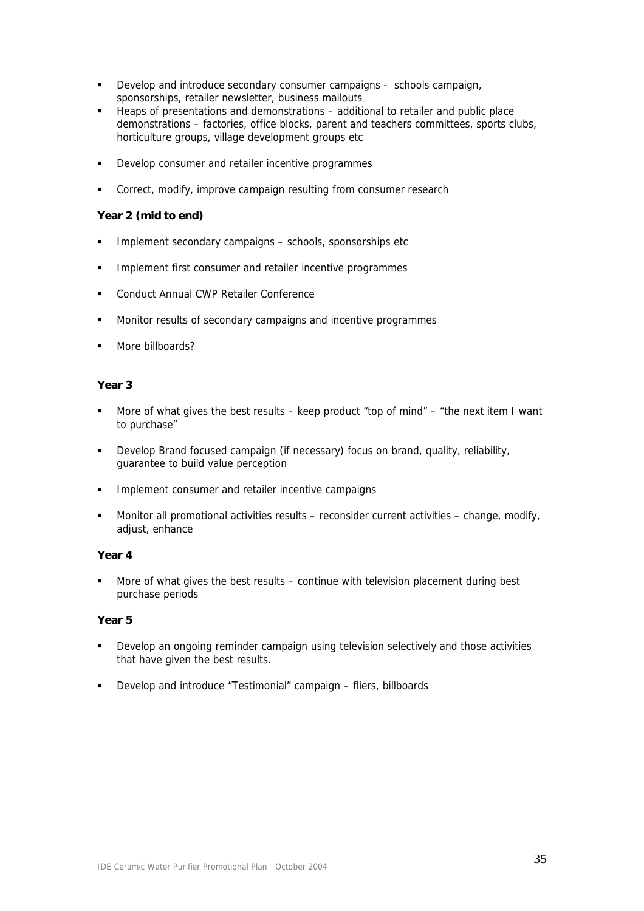- Develop and introduce secondary consumer campaigns schools campaign, sponsorships, retailer newsletter, business mailouts
- Heaps of presentations and demonstrations additional to retailer and public place demonstrations – factories, office blocks, parent and teachers committees, sports clubs, horticulture groups, village development groups etc
- Develop consumer and retailer incentive programmes
- **EXECO CORRECT:** Correct, modify, improve campaign resulting from consumer research

## **Year 2 (mid to end)**

- **Implement secondary campaigns schools, sponsorships etc**
- **IMPLEMENT INCO INTERF** 1 Implement first consumer and retailer incentive programmes
- **EXECONDUCT Annual CWP Retailer Conference**
- **Monitor results of secondary campaigns and incentive programmes**
- More billboards?

## **Year 3**

- More of what gives the best results keep product "top of mind" "the next item I want to purchase"
- Develop Brand focused campaign (if necessary) focus on brand, quality, reliability, guarantee to build value perception
- Implement consumer and retailer incentive campaigns
- Monitor all promotional activities results reconsider current activities change, modify, adjust, enhance

#### **Year 4**

 More of what gives the best results – continue with television placement during best purchase periods

## **Year 5**

- Develop an ongoing reminder campaign using television selectively and those activities that have given the best results.
- Develop and introduce "Testimonial" campaign fliers, billboards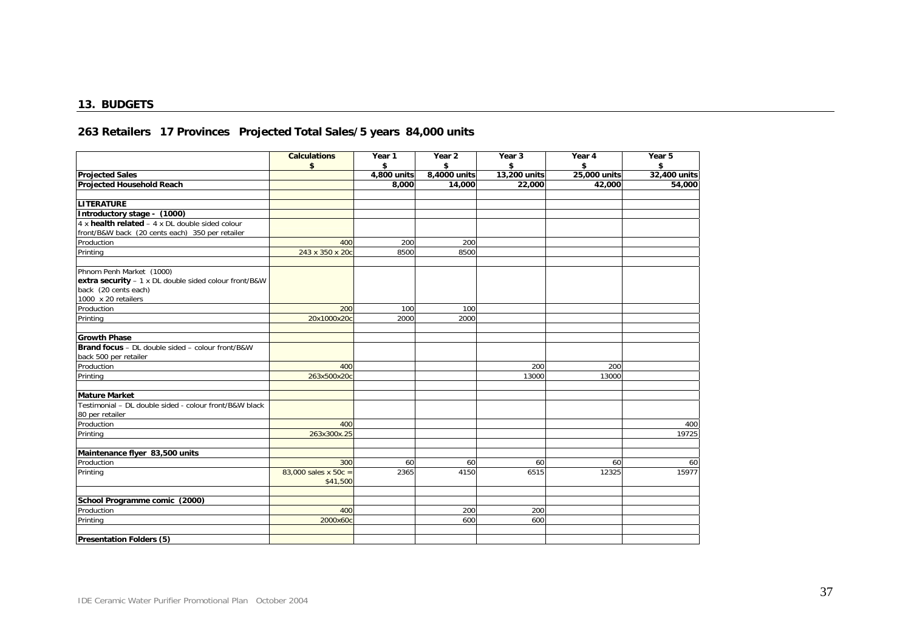#### **13. BUDGETS**

# **263 Retailers 17 Provinces Projected Total Sales/5 years 84,000 units**

|                                                                                                                                  | <b>Calculations</b><br>\$           | Year 1<br>\$ | Year 2<br>\$ | Year 3<br>\$ | Year 4<br>\$ | Year 5<br>\$ |
|----------------------------------------------------------------------------------------------------------------------------------|-------------------------------------|--------------|--------------|--------------|--------------|--------------|
| <b>Projected Sales</b>                                                                                                           |                                     | 4,800 units  | 8,4000 units | 13,200 units | 25,000 units | 32,400 units |
| <b>Projected Household Reach</b>                                                                                                 |                                     | 8,000        | 14,000       | 22,000       | 42,000       | 54,000       |
| LITERATURE                                                                                                                       |                                     |              |              |              |              |              |
| Introductory stage - (1000)                                                                                                      |                                     |              |              |              |              |              |
| $4 \times$ health related $- 4 \times$ DL double sided colour<br>front/B&W back (20 cents each) 350 per retailer                 |                                     |              |              |              |              |              |
| Production                                                                                                                       | 400                                 | 200          | 200          |              |              |              |
| Printing                                                                                                                         | 243 x 350 x 20c                     | 8500         | 8500         |              |              |              |
| Phnom Penh Market (1000)<br>extra security - 1 x DL double sided colour front/B&W<br>back (20 cents each)<br>1000 x 20 retailers |                                     |              |              |              |              |              |
| Production                                                                                                                       | 200                                 | 100          | 100          |              |              |              |
| Printing                                                                                                                         | 20x1000x20c                         | 2000         | 2000         |              |              |              |
| <b>Growth Phase</b>                                                                                                              |                                     |              |              |              |              |              |
| Brand focus - DL double sided - colour front/B&W<br>back 500 per retailer                                                        |                                     |              |              |              |              |              |
| Production                                                                                                                       | 400                                 |              |              | 200          | 200          |              |
| Printing                                                                                                                         | 263x500x20c                         |              |              | 13000        | 13000        |              |
| <b>Mature Market</b>                                                                                                             |                                     |              |              |              |              |              |
| Testimonial - DL double sided - colour front/B&W black<br>80 per retailer                                                        |                                     |              |              |              |              |              |
| Production                                                                                                                       | 400                                 |              |              |              |              | 400          |
| Printing                                                                                                                         | 263x300x.25                         |              |              |              |              | 19725        |
| Maintenance flyer 83,500 units                                                                                                   |                                     |              |              |              |              |              |
| Production                                                                                                                       | 300                                 | 60           | 60           | 60           | 60           | 60           |
| Printing                                                                                                                         | 83,000 sales x 50 $c =$<br>\$41,500 | 2365         | 4150         | 6515         | 12325        | 15977        |
| School Programme comic (2000)                                                                                                    |                                     |              |              |              |              |              |
| Production                                                                                                                       | 400                                 |              | 200          | 200          |              |              |
| Printing                                                                                                                         | 2000x60c                            |              | 600          | 600          |              |              |
| <b>Presentation Folders (5)</b>                                                                                                  |                                     |              |              |              |              |              |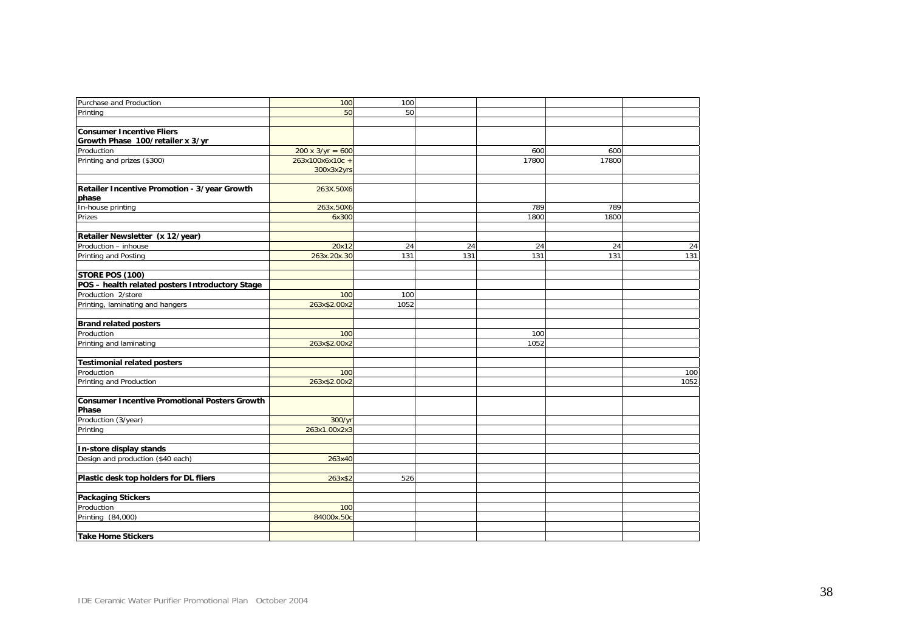| Purchase and Production                               | 100                     | 100  |     |       |       |      |
|-------------------------------------------------------|-------------------------|------|-----|-------|-------|------|
| Printing                                              | 50                      | 50   |     |       |       |      |
|                                                       |                         |      |     |       |       |      |
| <b>Consumer Incentive Fliers</b>                      |                         |      |     |       |       |      |
| Growth Phase 100/retailer x 3/yr                      |                         |      |     |       |       |      |
| Production                                            | $200 \times 3/yr = 600$ |      |     | 600   | 600   |      |
| Printing and prizes (\$300)                           | 263x100x6x10c +         |      |     | 17800 | 17800 |      |
|                                                       | 300x3x2yrs              |      |     |       |       |      |
|                                                       |                         |      |     |       |       |      |
| Retailer Incentive Promotion - 3/year Growth<br>phase | 263X.50X6               |      |     |       |       |      |
| In-house printing                                     | 263x.50X6               |      |     | 789   | 789   |      |
| Prizes                                                | 6x300                   |      |     | 1800  | 1800  |      |
|                                                       |                         |      |     |       |       |      |
| Retailer Newsletter (x 12/year)                       |                         |      |     |       |       |      |
| Production - inhouse                                  | 20x12                   | 24   | 24  | 24    | 24    | 24   |
| Printing and Posting                                  | 263x.20x.30             | 131  | 131 | 131   | 131   | 131  |
| STORE POS (100)                                       |                         |      |     |       |       |      |
| POS - health related posters Introductory Stage       |                         |      |     |       |       |      |
| Production 2/store                                    | 100                     | 100  |     |       |       |      |
| Printing, laminating and hangers                      | 263x\$2.00x2            | 1052 |     |       |       |      |
| <b>Brand related posters</b>                          |                         |      |     |       |       |      |
| Production                                            | 100                     |      |     | 100   |       |      |
| Printing and laminating                               | 263x\$2.00x2            |      |     | 1052  |       |      |
| <b>Testimonial related posters</b>                    |                         |      |     |       |       |      |
| Production                                            | 100                     |      |     |       |       | 100  |
| Printing and Production                               | 263x\$2.00x2            |      |     |       |       | 1052 |
| <b>Consumer Incentive Promotional Posters Growth</b>  |                         |      |     |       |       |      |
| Phase                                                 |                         |      |     |       |       |      |
| Production (3/year)                                   | 300/yr                  |      |     |       |       |      |
| Printing                                              | 263x1.00x2x3            |      |     |       |       |      |
| In-store display stands                               |                         |      |     |       |       |      |
| Design and production (\$40 each)                     | 263x40                  |      |     |       |       |      |
|                                                       |                         |      |     |       |       |      |
| Plastic desk top holders for DL fliers                | 263x\$2                 | 526  |     |       |       |      |
| <b>Packaging Stickers</b>                             |                         |      |     |       |       |      |
| Production                                            | 100                     |      |     |       |       |      |
| Printing (84,000)                                     | 84000x.50c              |      |     |       |       |      |
| <b>Take Home Stickers</b>                             |                         |      |     |       |       |      |
|                                                       |                         |      |     |       |       |      |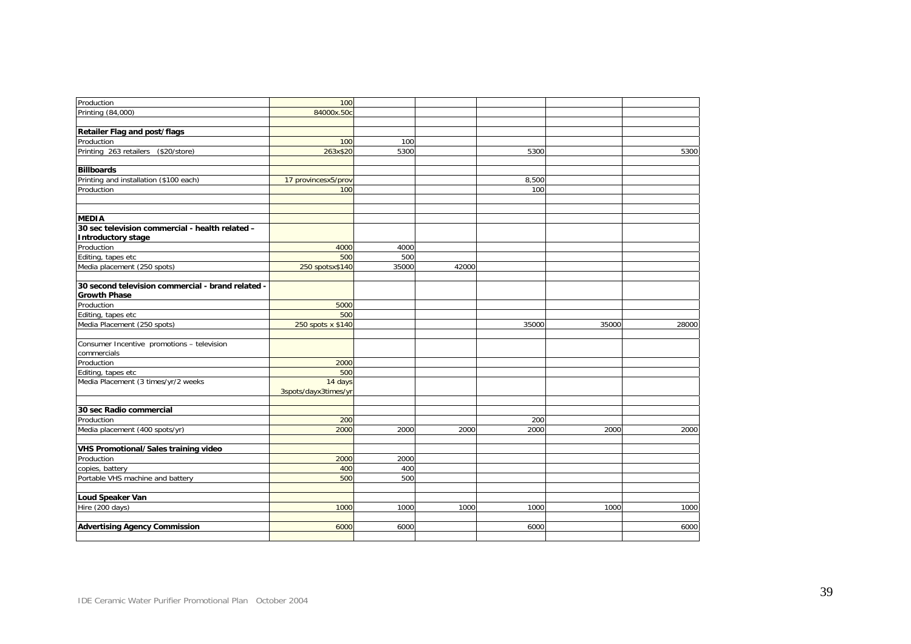| Production                                        | 100                  |       |       |       |       |       |
|---------------------------------------------------|----------------------|-------|-------|-------|-------|-------|
| Printing (84,000)                                 | 84000x.50c           |       |       |       |       |       |
|                                                   |                      |       |       |       |       |       |
| Retailer Flag and post/flags                      |                      |       |       |       |       |       |
| Production                                        | 100                  | 100   |       |       |       |       |
| Printing 263 retailers (\$20/store)               | 263x\$20             | 5300  |       | 5300  |       | 5300  |
|                                                   |                      |       |       |       |       |       |
| <b>Billboards</b>                                 |                      |       |       |       |       |       |
| Printing and installation (\$100 each)            | 17 provincesx5/prov  |       |       | 8,500 |       |       |
| Production                                        | 100                  |       |       | 100   |       |       |
|                                                   |                      |       |       |       |       |       |
|                                                   |                      |       |       |       |       |       |
| <b>MEDIA</b>                                      |                      |       |       |       |       |       |
| 30 sec television commercial - health related -   |                      |       |       |       |       |       |
| <b>Introductory stage</b>                         |                      |       |       |       |       |       |
| Production                                        | 4000                 | 4000  |       |       |       |       |
| Editing, tapes etc                                | 500                  | 500   |       |       |       |       |
| Media placement (250 spots)                       | 250 spotsx\$140      | 35000 | 42000 |       |       |       |
|                                                   |                      |       |       |       |       |       |
| 30 second television commercial - brand related - |                      |       |       |       |       |       |
| <b>Growth Phase</b>                               |                      |       |       |       |       |       |
| Production                                        | 5000                 |       |       |       |       |       |
| Editing, tapes etc                                | 500                  |       |       |       |       |       |
| Media Placement (250 spots)                       | 250 spots x \$140    |       |       | 35000 | 35000 | 28000 |
|                                                   |                      |       |       |       |       |       |
| Consumer Incentive promotions - television        |                      |       |       |       |       |       |
| commercials                                       |                      |       |       |       |       |       |
| Production                                        | 2000                 |       |       |       |       |       |
| Editing, tapes etc                                | 500                  |       |       |       |       |       |
| Media Placement (3 times/yr/2 weeks               | 14 days              |       |       |       |       |       |
|                                                   | 3spots/dayx3times/yr |       |       |       |       |       |
|                                                   |                      |       |       |       |       |       |
| 30 sec Radio commercial                           |                      |       |       |       |       |       |
| Production                                        | 200                  |       |       | 200   |       |       |
| Media placement (400 spots/yr)                    | 2000                 | 2000  | 2000  | 2000  | 2000  | 2000  |
|                                                   |                      |       |       |       |       |       |
| <b>VHS Promotional/Sales training video</b>       |                      |       |       |       |       |       |
| Production                                        | 2000                 | 2000  |       |       |       |       |
| copies, battery                                   | 400                  | 400   |       |       |       |       |
| Portable VHS machine and battery                  | 500                  | 500   |       |       |       |       |
| Loud Speaker Van                                  |                      |       |       |       |       |       |
| Hire (200 days)                                   | 1000                 | 1000  | 1000  | 1000  | 1000  | 1000  |
|                                                   |                      |       |       |       |       |       |
| <b>Advertising Agency Commission</b>              | 6000                 | 6000  |       | 6000  |       | 6000  |
|                                                   |                      |       |       |       |       |       |
|                                                   |                      |       |       |       |       |       |